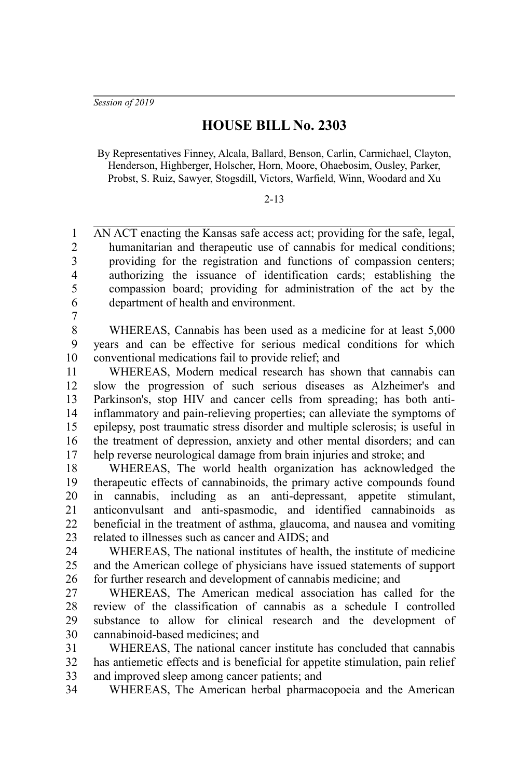*Session of 2019*

# **HOUSE BILL No. 2303**

By Representatives Finney, Alcala, Ballard, Benson, Carlin, Carmichael, Clayton, Henderson, Highberger, Holscher, Horn, Moore, Ohaebosim, Ousley, Parker, Probst, S. Ruiz, Sawyer, Stogsdill, Victors, Warfield, Winn, Woodard and Xu

#### 2-13

AN ACT enacting the Kansas safe access act; providing for the safe, legal, humanitarian and therapeutic use of cannabis for medical conditions; providing for the registration and functions of compassion centers; authorizing the issuance of identification cards; establishing the compassion board; providing for administration of the act by the department of health and environment. 1  $\mathfrak{D}$ 3 4 5 6

7

WHEREAS, Cannabis has been used as a medicine for at least 5,000 years and can be effective for serious medical conditions for which conventional medications fail to provide relief; and 8 9 10

WHEREAS, Modern medical research has shown that cannabis can slow the progression of such serious diseases as Alzheimer's and Parkinson's, stop HIV and cancer cells from spreading; has both antiinflammatory and pain-relieving properties; can alleviate the symptoms of epilepsy, post traumatic stress disorder and multiple sclerosis; is useful in the treatment of depression, anxiety and other mental disorders; and can help reverse neurological damage from brain injuries and stroke; and 11 12 13 14 15 16 17

WHEREAS, The world health organization has acknowledged the therapeutic effects of cannabinoids, the primary active compounds found in cannabis, including as an anti-depressant, appetite stimulant, anticonvulsant and anti-spasmodic, and identified cannabinoids as beneficial in the treatment of asthma, glaucoma, and nausea and vomiting related to illnesses such as cancer and AIDS; and 18 19 20 21 22 23

WHEREAS, The national institutes of health, the institute of medicine and the American college of physicians have issued statements of support for further research and development of cannabis medicine; and  $24$ 25 26

WHEREAS, The American medical association has called for the review of the classification of cannabis as a schedule I controlled substance to allow for clinical research and the development of cannabinoid-based medicines; and 27 28 29 30

WHEREAS, The national cancer institute has concluded that cannabis has antiemetic effects and is beneficial for appetite stimulation, pain relief and improved sleep among cancer patients; and 31 32 33

WHEREAS, The American herbal pharmacopoeia and the American 34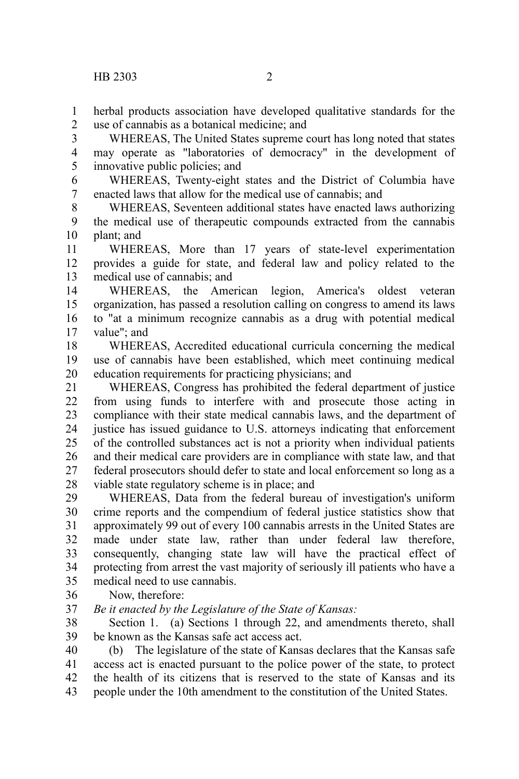herbal products association have developed qualitative standards for the use of cannabis as a botanical medicine; and 1 2

WHEREAS, The United States supreme court has long noted that states may operate as "laboratories of democracy" in the development of innovative public policies; and 3 4 5

WHEREAS, Twenty-eight states and the District of Columbia have enacted laws that allow for the medical use of cannabis; and 6 7

WHEREAS, Seventeen additional states have enacted laws authorizing the medical use of therapeutic compounds extracted from the cannabis plant; and 8 9 10

WHEREAS, More than 17 years of state-level experimentation provides a guide for state, and federal law and policy related to the medical use of cannabis; and 11 12 13

WHEREAS, the American legion, America's oldest veteran organization, has passed a resolution calling on congress to amend its laws to "at a minimum recognize cannabis as a drug with potential medical value"; and 14 15 16 17

WHEREAS, Accredited educational curricula concerning the medical use of cannabis have been established, which meet continuing medical education requirements for practicing physicians; and 18 19 20

WHEREAS, Congress has prohibited the federal department of justice from using funds to interfere with and prosecute those acting in compliance with their state medical cannabis laws, and the department of justice has issued guidance to U.S. attorneys indicating that enforcement of the controlled substances act is not a priority when individual patients and their medical care providers are in compliance with state law, and that federal prosecutors should defer to state and local enforcement so long as a viable state regulatory scheme is in place; and 21 22 23 24 25 26 27 28

WHEREAS, Data from the federal bureau of investigation's uniform crime reports and the compendium of federal justice statistics show that approximately 99 out of every 100 cannabis arrests in the United States are made under state law, rather than under federal law therefore, consequently, changing state law will have the practical effect of protecting from arrest the vast majority of seriously ill patients who have a medical need to use cannabis. 29 30 31 32 33 34 35

Now, therefore: 36

*Be it enacted by the Legislature of the State of Kansas:* 37

Section 1. (a) Sections 1 through 22, and amendments thereto, shall be known as the Kansas safe act access act. 38 39

(b) The legislature of the state of Kansas declares that the Kansas safe access act is enacted pursuant to the police power of the state, to protect the health of its citizens that is reserved to the state of Kansas and its people under the 10th amendment to the constitution of the United States. 40 41 42 43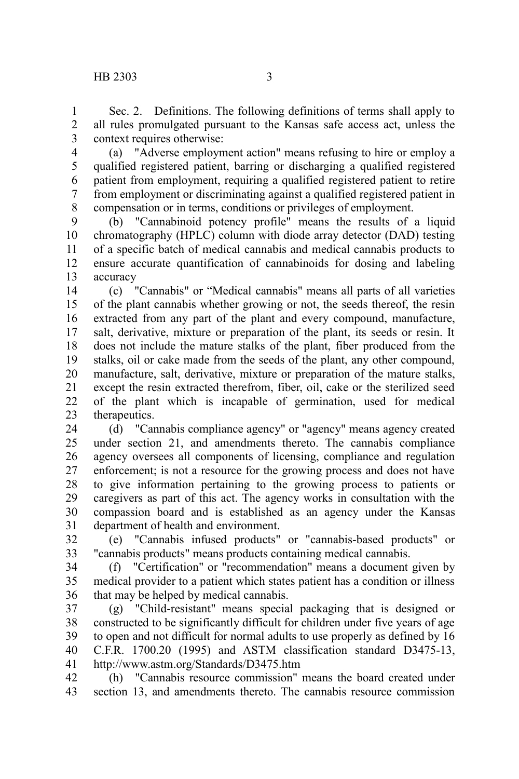Sec. 2. Definitions. The following definitions of terms shall apply to all rules promulgated pursuant to the Kansas safe access act, unless the context requires otherwise: 1 2 3

(a) "Adverse employment action" means refusing to hire or employ a qualified registered patient, barring or discharging a qualified registered patient from employment, requiring a qualified registered patient to retire from employment or discriminating against a qualified registered patient in compensation or in terms, conditions or privileges of employment. 4 5 6 7 8

(b) "Cannabinoid potency profile" means the results of a liquid chromatography (HPLC) column with diode array detector (DAD) testing of a specific batch of medical cannabis and medical cannabis products to ensure accurate quantification of cannabinoids for dosing and labeling accuracy 9 10 11 12 13

(c) "Cannabis" or "Medical cannabis" means all parts of all varieties of the plant cannabis whether growing or not, the seeds thereof, the resin extracted from any part of the plant and every compound, manufacture, salt, derivative, mixture or preparation of the plant, its seeds or resin. It does not include the mature stalks of the plant, fiber produced from the stalks, oil or cake made from the seeds of the plant, any other compound, manufacture, salt, derivative, mixture or preparation of the mature stalks, except the resin extracted therefrom, fiber, oil, cake or the sterilized seed of the plant which is incapable of germination, used for medical therapeutics. 14 15 16 17 18 19 20 21 22 23

(d) "Cannabis compliance agency" or "agency" means agency created under section 21, and amendments thereto. The cannabis compliance agency oversees all components of licensing, compliance and regulation enforcement; is not a resource for the growing process and does not have to give information pertaining to the growing process to patients or caregivers as part of this act. The agency works in consultation with the compassion board and is established as an agency under the Kansas department of health and environment. 24 25 26 27 28 29 30 31

(e) "Cannabis infused products" or "cannabis-based products" or "cannabis products" means products containing medical cannabis. 32 33

(f) "Certification" or "recommendation" means a document given by medical provider to a patient which states patient has a condition or illness that may be helped by medical cannabis. 34 35 36

(g) "Child-resistant" means special packaging that is designed or constructed to be significantly difficult for children under five years of age to open and not difficult for normal adults to use properly as defined by 16 C.F.R. 1700.20 (1995) and ASTM classification standard D3475-13, http://www.astm.org/Standards/D3475.htm 37 38 39 40 41

(h) "Cannabis resource commission" means the board created under section 13, and amendments thereto. The cannabis resource commission 42 43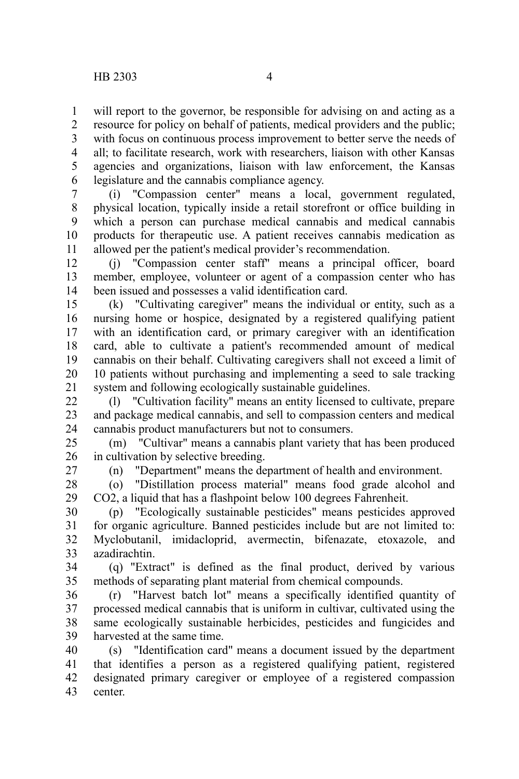will report to the governor, be responsible for advising on and acting as a 1

resource for policy on behalf of patients, medical providers and the public; with focus on continuous process improvement to better serve the needs of all; to facilitate research, work with researchers, liaison with other Kansas agencies and organizations, liaison with law enforcement, the Kansas legislature and the cannabis compliance agency. 2 3 4 5 6

(i) "Compassion center" means a local, government regulated, physical location, typically inside a retail storefront or office building in which a person can purchase medical cannabis and medical cannabis products for therapeutic use. A patient receives cannabis medication as allowed per the patient's medical provider's recommendation. 7 8 9 10 11

(j) "Compassion center staff" means a principal officer, board member, employee, volunteer or agent of a compassion center who has been issued and possesses a valid identification card. 12 13 14

(k) "Cultivating caregiver" means the individual or entity, such as a nursing home or hospice, designated by a registered qualifying patient with an identification card, or primary caregiver with an identification card, able to cultivate a patient's recommended amount of medical cannabis on their behalf. Cultivating caregivers shall not exceed a limit of 10 patients without purchasing and implementing a seed to sale tracking system and following ecologically sustainable guidelines. 15 16 17 18 19 20 21

(l) "Cultivation facility" means an entity licensed to cultivate, prepare and package medical cannabis, and sell to compassion centers and medical cannabis product manufacturers but not to consumers.  $22$ 23 24

(m) "Cultivar" means a cannabis plant variety that has been produced in cultivation by selective breeding. 25 26

27

(n) "Department" means the department of health and environment.

(o) "Distillation process material" means food grade alcohol and CO2, a liquid that has a flashpoint below 100 degrees Fahrenheit. 28 29

(p) "Ecologically sustainable pesticides" means pesticides approved for organic agriculture. Banned pesticides include but are not limited to: Myclobutanil, imidacloprid, avermectin, bifenazate, etoxazole, and azadirachtin. 30 31 32 33

(q) "Extract" is defined as the final product, derived by various methods of separating plant material from chemical compounds. 34 35

(r) "Harvest batch lot" means a specifically identified quantity of processed medical cannabis that is uniform in cultivar, cultivated using the same ecologically sustainable herbicides, pesticides and fungicides and harvested at the same time. 36 37 38 39

(s) "Identification card" means a document issued by the department that identifies a person as a registered qualifying patient, registered designated primary caregiver or employee of a registered compassion center. 40 41 42 43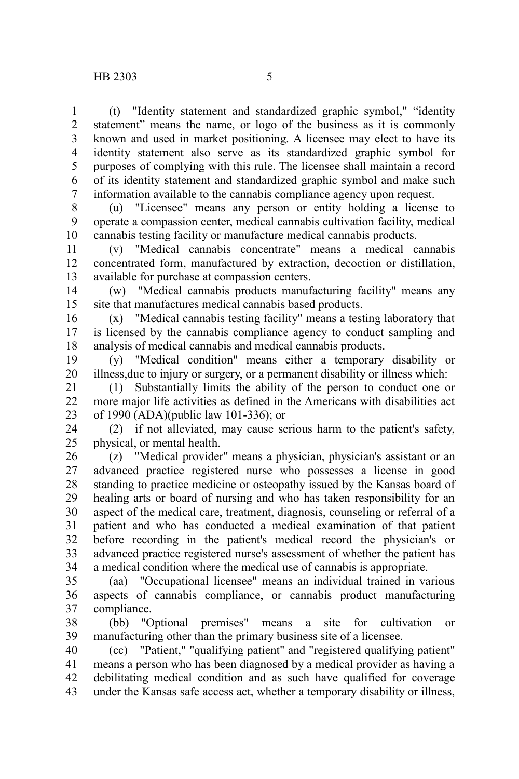(t) "Identity statement and standardized graphic symbol," "identity statement" means the name, or logo of the business as it is commonly known and used in market positioning. A licensee may elect to have its identity statement also serve as its standardized graphic symbol for purposes of complying with this rule. The licensee shall maintain a record of its identity statement and standardized graphic symbol and make such information available to the cannabis compliance agency upon request. 1 2 3 4 5 6 7

(u) "Licensee" means any person or entity holding a license to operate a compassion center, medical cannabis cultivation facility, medical cannabis testing facility or manufacture medical cannabis products. 8 9 10

(v) "Medical cannabis concentrate" means a medical cannabis concentrated form, manufactured by extraction, decoction or distillation, available for purchase at compassion centers. 11 12 13

(w) "Medical cannabis products manufacturing facility" means any site that manufactures medical cannabis based products. 14 15

(x) "Medical cannabis testing facility" means a testing laboratory that is licensed by the cannabis compliance agency to conduct sampling and analysis of medical cannabis and medical cannabis products. 16 17 18

(y) "Medical condition" means either a temporary disability or illness,due to injury or surgery, or a permanent disability or illness which: 19 20

(1) Substantially limits the ability of the person to conduct one or more major life activities as defined in the Americans with disabilities act of 1990 (ADA)(public law 101-336); or 21 22 23

(2) if not alleviated, may cause serious harm to the patient's safety, physical, or mental health. 24 25

(z) "Medical provider" means a physician, physician's assistant or an advanced practice registered nurse who possesses a license in good standing to practice medicine or osteopathy issued by the Kansas board of healing arts or board of nursing and who has taken responsibility for an aspect of the medical care, treatment, diagnosis, counseling or referral of a patient and who has conducted a medical examination of that patient before recording in the patient's medical record the physician's or advanced practice registered nurse's assessment of whether the patient has a medical condition where the medical use of cannabis is appropriate. 26 27 28 29 30 31 32 33 34

(aa) "Occupational licensee" means an individual trained in various aspects of cannabis compliance, or cannabis product manufacturing compliance. 35 36 37

(bb) "Optional premises" means a site for cultivation or manufacturing other than the primary business site of a licensee. 38 39

(cc) "Patient," "qualifying patient" and "registered qualifying patient" means a person who has been diagnosed by a medical provider as having a debilitating medical condition and as such have qualified for coverage under the Kansas safe access act, whether a temporary disability or illness, 40 41 42 43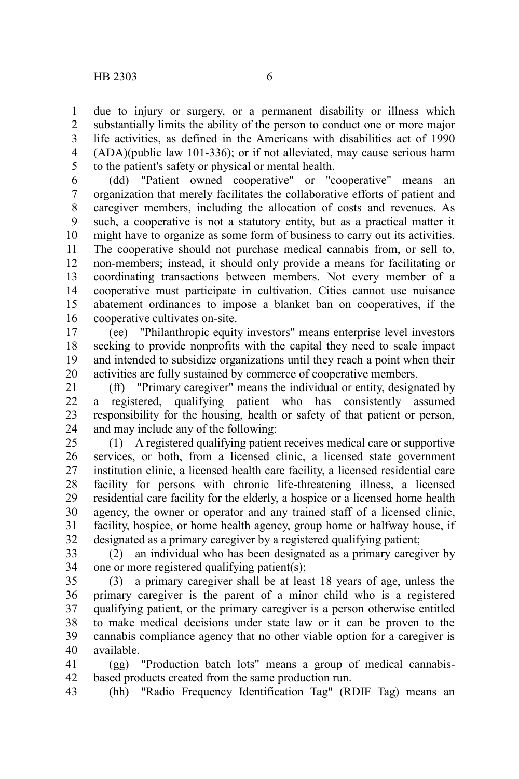due to injury or surgery, or a permanent disability or illness which substantially limits the ability of the person to conduct one or more major life activities, as defined in the Americans with disabilities act of 1990 (ADA)(public law 101-336); or if not alleviated, may cause serious harm to the patient's safety or physical or mental health. 1 2 3 4 5

(dd) "Patient owned cooperative" or "cooperative" means an organization that merely facilitates the collaborative efforts of patient and caregiver members, including the allocation of costs and revenues. As such, a cooperative is not a statutory entity, but as a practical matter it might have to organize as some form of business to carry out its activities. The cooperative should not purchase medical cannabis from, or sell to, non-members; instead, it should only provide a means for facilitating or coordinating transactions between members. Not every member of a cooperative must participate in cultivation. Cities cannot use nuisance abatement ordinances to impose a blanket ban on cooperatives, if the cooperative cultivates on-site. 6 7 8 9 10 11 12 13 14 15 16

(ee) "Philanthropic equity investors" means enterprise level investors seeking to provide nonprofits with the capital they need to scale impact and intended to subsidize organizations until they reach a point when their activities are fully sustained by commerce of cooperative members. 17 18 19 20

(ff) "Primary caregiver" means the individual or entity, designated by a registered, qualifying patient who has consistently assumed responsibility for the housing, health or safety of that patient or person, and may include any of the following: 21 22 23 24

(1) A registered qualifying patient receives medical care or supportive services, or both, from a licensed clinic, a licensed state government institution clinic, a licensed health care facility, a licensed residential care facility for persons with chronic life-threatening illness, a licensed residential care facility for the elderly, a hospice or a licensed home health agency, the owner or operator and any trained staff of a licensed clinic, facility, hospice, or home health agency, group home or halfway house, if designated as a primary caregiver by a registered qualifying patient; 25 26 27 28 29 30 31 32

(2) an individual who has been designated as a primary caregiver by one or more registered qualifying patient(s); 33 34

(3) a primary caregiver shall be at least 18 years of age, unless the primary caregiver is the parent of a minor child who is a registered qualifying patient, or the primary caregiver is a person otherwise entitled to make medical decisions under state law or it can be proven to the cannabis compliance agency that no other viable option for a caregiver is available. 35 36 37 38 39 40

(gg) "Production batch lots" means a group of medical cannabisbased products created from the same production run. 41 42

(hh) "Radio Frequency Identification Tag" (RDIF Tag) means an 43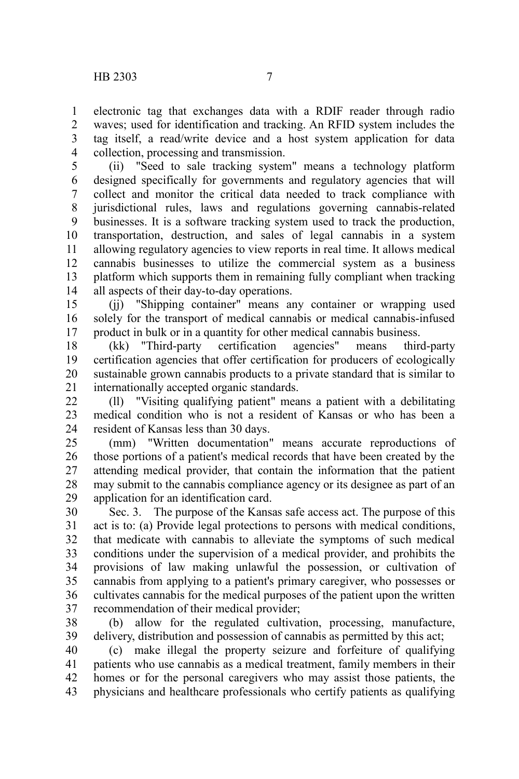electronic tag that exchanges data with a RDIF reader through radio waves; used for identification and tracking. An RFID system includes the tag itself, a read/write device and a host system application for data collection, processing and transmission. 1 2 3 4

(ii) "Seed to sale tracking system" means a technology platform designed specifically for governments and regulatory agencies that will collect and monitor the critical data needed to track compliance with jurisdictional rules, laws and regulations governing cannabis-related businesses. It is a software tracking system used to track the production, transportation, destruction, and sales of legal cannabis in a system allowing regulatory agencies to view reports in real time. It allows medical cannabis businesses to utilize the commercial system as a business platform which supports them in remaining fully compliant when tracking all aspects of their day-to-day operations. 5 6 7 8 9 10 11 12 13 14

(jj) "Shipping container" means any container or wrapping used solely for the transport of medical cannabis or medical cannabis-infused product in bulk or in a quantity for other medical cannabis business. 15 16 17

(kk) "Third-party certification agencies" means third-party certification agencies that offer certification for producers of ecologically sustainable grown cannabis products to a private standard that is similar to internationally accepted organic standards. 18 19 20 21

(ll) "Visiting qualifying patient" means a patient with a debilitating medical condition who is not a resident of Kansas or who has been a resident of Kansas less than 30 days.  $22$ 23 24

(mm) "Written documentation" means accurate reproductions of those portions of a patient's medical records that have been created by the attending medical provider, that contain the information that the patient may submit to the cannabis compliance agency or its designee as part of an application for an identification card. 25 26 27 28 29

Sec. 3. The purpose of the Kansas safe access act. The purpose of this act is to: (a) Provide legal protections to persons with medical conditions, that medicate with cannabis to alleviate the symptoms of such medical conditions under the supervision of a medical provider, and prohibits the provisions of law making unlawful the possession, or cultivation of cannabis from applying to a patient's primary caregiver, who possesses or cultivates cannabis for the medical purposes of the patient upon the written recommendation of their medical provider; 30 31 32 33 34 35 36 37

(b) allow for the regulated cultivation, processing, manufacture, delivery, distribution and possession of cannabis as permitted by this act; 38 39

(c) make illegal the property seizure and forfeiture of qualifying patients who use cannabis as a medical treatment, family members in their homes or for the personal caregivers who may assist those patients, the physicians and healthcare professionals who certify patients as qualifying 40 41 42 43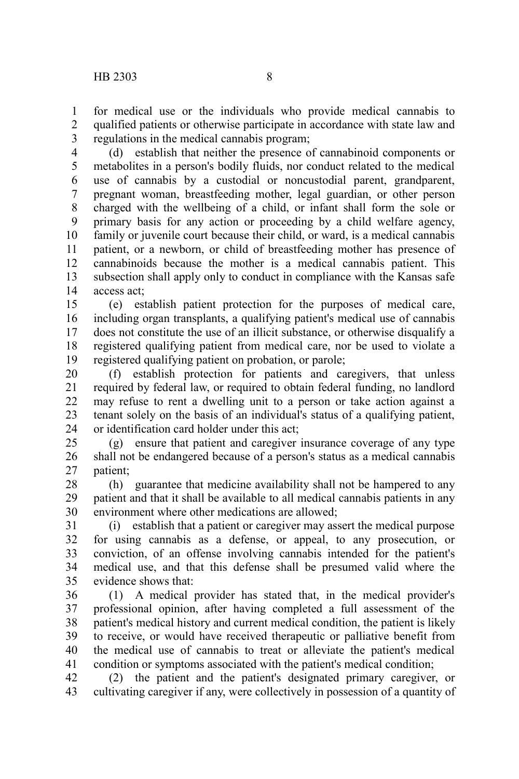for medical use or the individuals who provide medical cannabis to qualified patients or otherwise participate in accordance with state law and regulations in the medical cannabis program; 1 2 3

(d) establish that neither the presence of cannabinoid components or metabolites in a person's bodily fluids, nor conduct related to the medical use of cannabis by a custodial or noncustodial parent, grandparent, pregnant woman, breastfeeding mother, legal guardian, or other person charged with the wellbeing of a child, or infant shall form the sole or primary basis for any action or proceeding by a child welfare agency, family or juvenile court because their child, or ward, is a medical cannabis patient, or a newborn, or child of breastfeeding mother has presence of cannabinoids because the mother is a medical cannabis patient. This subsection shall apply only to conduct in compliance with the Kansas safe access act; 4 5 6 7 8 9 10 11 12 13 14

(e) establish patient protection for the purposes of medical care, including organ transplants, a qualifying patient's medical use of cannabis does not constitute the use of an illicit substance, or otherwise disqualify a registered qualifying patient from medical care, nor be used to violate a registered qualifying patient on probation, or parole; 15 16 17 18 19

(f) establish protection for patients and caregivers, that unless required by federal law, or required to obtain federal funding, no landlord may refuse to rent a dwelling unit to a person or take action against a tenant solely on the basis of an individual's status of a qualifying patient, or identification card holder under this act; 20 21 22 23 24

(g) ensure that patient and caregiver insurance coverage of any type shall not be endangered because of a person's status as a medical cannabis patient; 25 26 27

(h) guarantee that medicine availability shall not be hampered to any patient and that it shall be available to all medical cannabis patients in any environment where other medications are allowed; 28 29 30

(i) establish that a patient or caregiver may assert the medical purpose for using cannabis as a defense, or appeal, to any prosecution, or conviction, of an offense involving cannabis intended for the patient's medical use, and that this defense shall be presumed valid where the evidence shows that: 31 32 33 34 35

(1) A medical provider has stated that, in the medical provider's professional opinion, after having completed a full assessment of the patient's medical history and current medical condition, the patient is likely to receive, or would have received therapeutic or palliative benefit from the medical use of cannabis to treat or alleviate the patient's medical condition or symptoms associated with the patient's medical condition; 36 37 38 39 40 41

(2) the patient and the patient's designated primary caregiver, or cultivating caregiver if any, were collectively in possession of a quantity of 42 43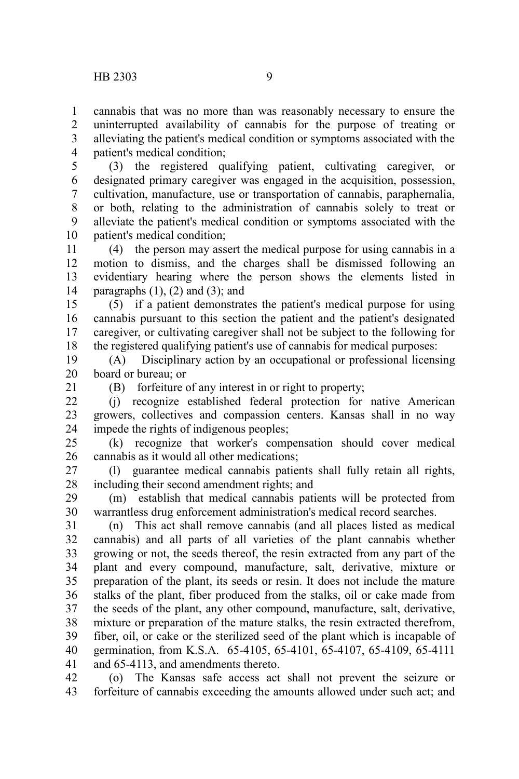cannabis that was no more than was reasonably necessary to ensure the uninterrupted availability of cannabis for the purpose of treating or alleviating the patient's medical condition or symptoms associated with the patient's medical condition; 1 2 3 4

(3) the registered qualifying patient, cultivating caregiver, or designated primary caregiver was engaged in the acquisition, possession, cultivation, manufacture, use or transportation of cannabis, paraphernalia, or both, relating to the administration of cannabis solely to treat or alleviate the patient's medical condition or symptoms associated with the patient's medical condition; 5 6 7 8 9 10

(4) the person may assert the medical purpose for using cannabis in a motion to dismiss, and the charges shall be dismissed following an evidentiary hearing where the person shows the elements listed in paragraphs  $(1)$ ,  $(2)$  and  $(3)$ ; and 11 12 13 14

(5) if a patient demonstrates the patient's medical purpose for using cannabis pursuant to this section the patient and the patient's designated caregiver, or cultivating caregiver shall not be subject to the following for the registered qualifying patient's use of cannabis for medical purposes: 15 16 17 18

(A) Disciplinary action by an occupational or professional licensing board or bureau; or 19 20

21

(B) forfeiture of any interest in or right to property;

(j) recognize established federal protection for native American growers, collectives and compassion centers. Kansas shall in no way impede the rights of indigenous peoples;  $22$ 23 24

(k) recognize that worker's compensation should cover medical cannabis as it would all other medications; 25 26

(l) guarantee medical cannabis patients shall fully retain all rights, including their second amendment rights; and 27 28

(m) establish that medical cannabis patients will be protected from warrantless drug enforcement administration's medical record searches. 29 30

(n) This act shall remove cannabis (and all places listed as medical cannabis) and all parts of all varieties of the plant cannabis whether growing or not, the seeds thereof, the resin extracted from any part of the plant and every compound, manufacture, salt, derivative, mixture or preparation of the plant, its seeds or resin. It does not include the mature stalks of the plant, fiber produced from the stalks, oil or cake made from the seeds of the plant, any other compound, manufacture, salt, derivative, mixture or preparation of the mature stalks, the resin extracted therefrom, fiber, oil, or cake or the sterilized seed of the plant which is incapable of germination, from K.S.A. 65-4105, 65-4101, 65-4107, 65-4109, 65-4111 and 65-4113, and amendments thereto. 31 32 33 34 35 36 37 38 39 40 41

(o) The Kansas safe access act shall not prevent the seizure or forfeiture of cannabis exceeding the amounts allowed under such act; and 42 43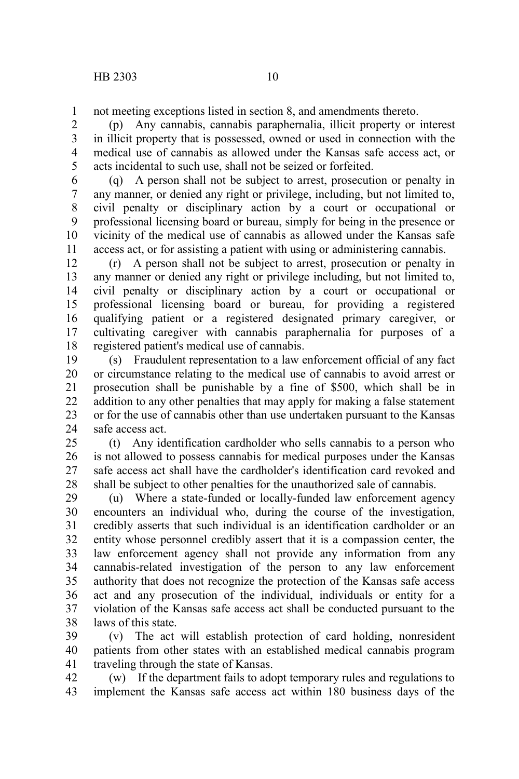not meeting exceptions listed in section 8, and amendments thereto. 1

(p) Any cannabis, cannabis paraphernalia, illicit property or interest in illicit property that is possessed, owned or used in connection with the medical use of cannabis as allowed under the Kansas safe access act, or acts incidental to such use, shall not be seized or forfeited. 2 3 4 5

(q) A person shall not be subject to arrest, prosecution or penalty in any manner, or denied any right or privilege, including, but not limited to, civil penalty or disciplinary action by a court or occupational or professional licensing board or bureau, simply for being in the presence or vicinity of the medical use of cannabis as allowed under the Kansas safe access act, or for assisting a patient with using or administering cannabis. 6 7 8 9 10 11

(r) A person shall not be subject to arrest, prosecution or penalty in any manner or denied any right or privilege including, but not limited to, civil penalty or disciplinary action by a court or occupational or professional licensing board or bureau, for providing a registered qualifying patient or a registered designated primary caregiver, or cultivating caregiver with cannabis paraphernalia for purposes of a registered patient's medical use of cannabis. 12 13 14 15 16 17 18

(s) Fraudulent representation to a law enforcement official of any fact or circumstance relating to the medical use of cannabis to avoid arrest or prosecution shall be punishable by a fine of \$500, which shall be in addition to any other penalties that may apply for making a false statement or for the use of cannabis other than use undertaken pursuant to the Kansas safe access act. 19 20 21 22 23 24

(t) Any identification cardholder who sells cannabis to a person who is not allowed to possess cannabis for medical purposes under the Kansas safe access act shall have the cardholder's identification card revoked and shall be subject to other penalties for the unauthorized sale of cannabis. 25 26 27 28

(u) Where a state-funded or locally-funded law enforcement agency encounters an individual who, during the course of the investigation, credibly asserts that such individual is an identification cardholder or an entity whose personnel credibly assert that it is a compassion center, the law enforcement agency shall not provide any information from any cannabis-related investigation of the person to any law enforcement authority that does not recognize the protection of the Kansas safe access act and any prosecution of the individual, individuals or entity for a violation of the Kansas safe access act shall be conducted pursuant to the laws of this state. 29 30 31 32 33 34 35 36 37 38

(v) The act will establish protection of card holding, nonresident patients from other states with an established medical cannabis program traveling through the state of Kansas. 39 40 41

(w) If the department fails to adopt temporary rules and regulations to implement the Kansas safe access act within 180 business days of the 42 43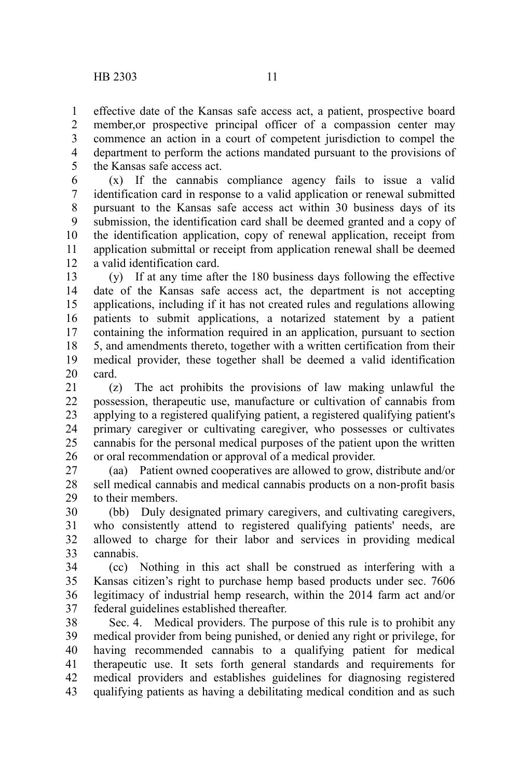effective date of the Kansas safe access act, a patient, prospective board member,or prospective principal officer of a compassion center may commence an action in a court of competent jurisdiction to compel the department to perform the actions mandated pursuant to the provisions of the Kansas safe access act. 1 2 3 4 5

(x) If the cannabis compliance agency fails to issue a valid identification card in response to a valid application or renewal submitted pursuant to the Kansas safe access act within 30 business days of its submission, the identification card shall be deemed granted and a copy of the identification application, copy of renewal application, receipt from application submittal or receipt from application renewal shall be deemed a valid identification card. 6 7 8 9 10 11 12

(y) If at any time after the 180 business days following the effective date of the Kansas safe access act, the department is not accepting applications, including if it has not created rules and regulations allowing patients to submit applications, a notarized statement by a patient containing the information required in an application, pursuant to section 5, and amendments thereto, together with a written certification from their medical provider, these together shall be deemed a valid identification card. 13 14 15 16 17 18 19 20

(z) The act prohibits the provisions of law making unlawful the possession, therapeutic use, manufacture or cultivation of cannabis from applying to a registered qualifying patient, a registered qualifying patient's primary caregiver or cultivating caregiver, who possesses or cultivates cannabis for the personal medical purposes of the patient upon the written or oral recommendation or approval of a medical provider. 21 22 23 24 25 26

(aa) Patient owned cooperatives are allowed to grow, distribute and/or sell medical cannabis and medical cannabis products on a non-profit basis to their members. 27 28 29

(bb) Duly designated primary caregivers, and cultivating caregivers, who consistently attend to registered qualifying patients' needs, are allowed to charge for their labor and services in providing medical cannabis. 30 31 32 33

(cc) Nothing in this act shall be construed as interfering with a Kansas citizen's right to purchase hemp based products under sec. 7606 legitimacy of industrial hemp research, within the 2014 farm act and/or federal guidelines established thereafter. 34 35 36 37

Sec. 4. Medical providers. The purpose of this rule is to prohibit any medical provider from being punished, or denied any right or privilege, for having recommended cannabis to a qualifying patient for medical therapeutic use. It sets forth general standards and requirements for medical providers and establishes guidelines for diagnosing registered qualifying patients as having a debilitating medical condition and as such 38 39 40 41 42 43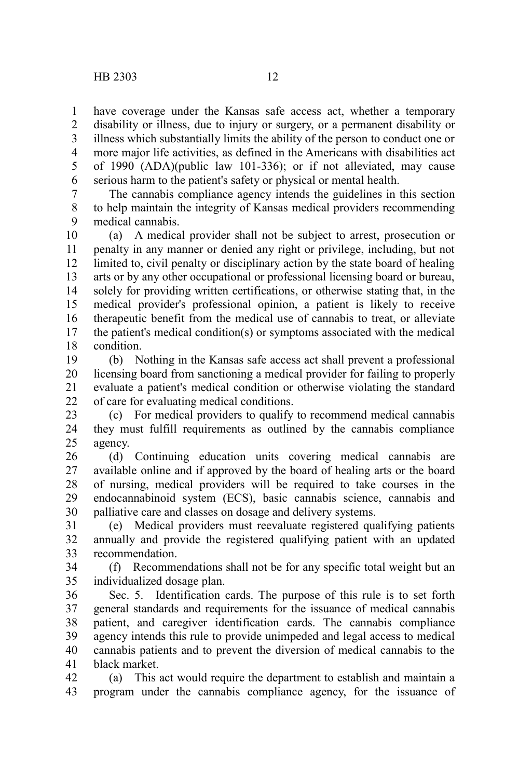have coverage under the Kansas safe access act, whether a temporary disability or illness, due to injury or surgery, or a permanent disability or illness which substantially limits the ability of the person to conduct one or more major life activities, as defined in the Americans with disabilities act of 1990 (ADA)(public law 101-336); or if not alleviated, may cause serious harm to the patient's safety or physical or mental health. 1 2 3 4 5 6

The cannabis compliance agency intends the guidelines in this section to help maintain the integrity of Kansas medical providers recommending medical cannabis. 7 8 9

(a) A medical provider shall not be subject to arrest, prosecution or penalty in any manner or denied any right or privilege, including, but not limited to, civil penalty or disciplinary action by the state board of healing arts or by any other occupational or professional licensing board or bureau, solely for providing written certifications, or otherwise stating that, in the medical provider's professional opinion, a patient is likely to receive therapeutic benefit from the medical use of cannabis to treat, or alleviate the patient's medical condition(s) or symptoms associated with the medical condition. 10 11 12 13 14 15 16 17 18

(b) Nothing in the Kansas safe access act shall prevent a professional licensing board from sanctioning a medical provider for failing to properly evaluate a patient's medical condition or otherwise violating the standard of care for evaluating medical conditions. 19 20 21 22

(c) For medical providers to qualify to recommend medical cannabis they must fulfill requirements as outlined by the cannabis compliance agency. 23 24 25

(d) Continuing education units covering medical cannabis are available online and if approved by the board of healing arts or the board of nursing, medical providers will be required to take courses in the endocannabinoid system (ECS), basic cannabis science, cannabis and palliative care and classes on dosage and delivery systems. 26 27 28 29 30

(e) Medical providers must reevaluate registered qualifying patients annually and provide the registered qualifying patient with an updated recommendation. 31 32 33

(f) Recommendations shall not be for any specific total weight but an individualized dosage plan. 34 35

Sec. 5. Identification cards. The purpose of this rule is to set forth general standards and requirements for the issuance of medical cannabis patient, and caregiver identification cards. The cannabis compliance agency intends this rule to provide unimpeded and legal access to medical cannabis patients and to prevent the diversion of medical cannabis to the black market. 36 37 38 39 40 41

(a) This act would require the department to establish and maintain a program under the cannabis compliance agency, for the issuance of 42 43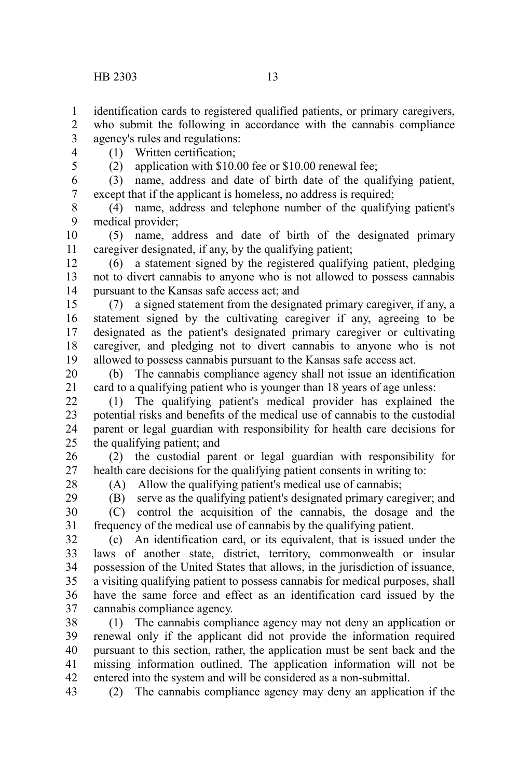identification cards to registered qualified patients, or primary caregivers, 1

who submit the following in accordance with the cannabis compliance agency's rules and regulations: 2 3

4 5 (1) Written certification;

(2) application with \$10.00 fee or \$10.00 renewal fee;

(3) name, address and date of birth date of the qualifying patient, except that if the applicant is homeless, no address is required; 6 7

(4) name, address and telephone number of the qualifying patient's medical provider; 8 9

(5) name, address and date of birth of the designated primary caregiver designated, if any, by the qualifying patient; 10 11

(6) a statement signed by the registered qualifying patient, pledging not to divert cannabis to anyone who is not allowed to possess cannabis pursuant to the Kansas safe access act; and 12 13 14

(7) a signed statement from the designated primary caregiver, if any, a statement signed by the cultivating caregiver if any, agreeing to be designated as the patient's designated primary caregiver or cultivating caregiver, and pledging not to divert cannabis to anyone who is not allowed to possess cannabis pursuant to the Kansas safe access act. 15 16 17 18 19

(b) The cannabis compliance agency shall not issue an identification card to a qualifying patient who is younger than 18 years of age unless: 20 21

(1) The qualifying patient's medical provider has explained the potential risks and benefits of the medical use of cannabis to the custodial parent or legal guardian with responsibility for health care decisions for the qualifying patient; and 22 23 24 25

(2) the custodial parent or legal guardian with responsibility for health care decisions for the qualifying patient consents in writing to: 26 27

28

(A) Allow the qualifying patient's medical use of cannabis;

(B) serve as the qualifying patient's designated primary caregiver; and (C) control the acquisition of the cannabis, the dosage and the frequency of the medical use of cannabis by the qualifying patient. 29 30 31

(c) An identification card, or its equivalent, that is issued under the laws of another state, district, territory, commonwealth or insular possession of the United States that allows, in the jurisdiction of issuance, a visiting qualifying patient to possess cannabis for medical purposes, shall have the same force and effect as an identification card issued by the cannabis compliance agency. 32 33 34 35 36 37

(1) The cannabis compliance agency may not deny an application or renewal only if the applicant did not provide the information required pursuant to this section, rather, the application must be sent back and the missing information outlined. The application information will not be entered into the system and will be considered as a non-submittal. 38 39 40 41 42

(2) The cannabis compliance agency may deny an application if the 43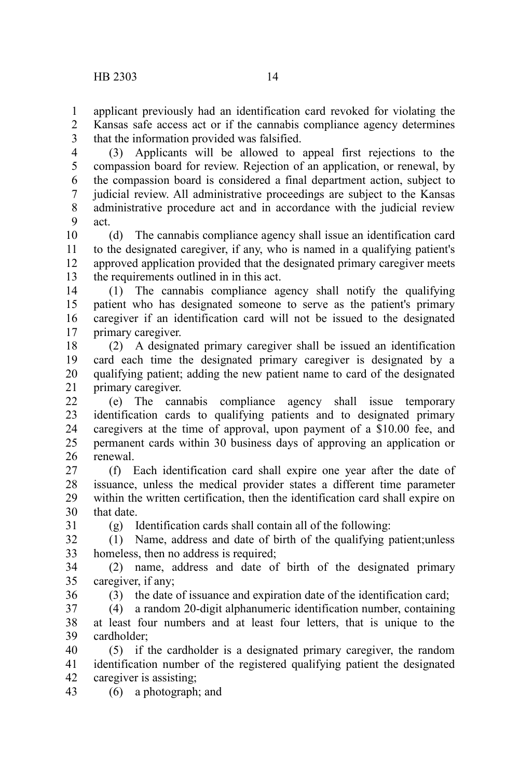applicant previously had an identification card revoked for violating the Kansas safe access act or if the cannabis compliance agency determines that the information provided was falsified. 1 2 3

(3) Applicants will be allowed to appeal first rejections to the compassion board for review. Rejection of an application, or renewal, by the compassion board is considered a final department action, subject to judicial review. All administrative proceedings are subject to the Kansas administrative procedure act and in accordance with the judicial review act. 4 5 6 7 8 9

(d) The cannabis compliance agency shall issue an identification card to the designated caregiver, if any, who is named in a qualifying patient's approved application provided that the designated primary caregiver meets the requirements outlined in in this act. 10 11 12 13

(1) The cannabis compliance agency shall notify the qualifying patient who has designated someone to serve as the patient's primary caregiver if an identification card will not be issued to the designated primary caregiver. 14 15 16 17

(2) A designated primary caregiver shall be issued an identification card each time the designated primary caregiver is designated by a qualifying patient; adding the new patient name to card of the designated primary caregiver. 18 19 20 21

(e) The cannabis compliance agency shall issue temporary identification cards to qualifying patients and to designated primary caregivers at the time of approval, upon payment of a \$10.00 fee, and permanent cards within 30 business days of approving an application or renewal. 22 23 24 25 26

(f) Each identification card shall expire one year after the date of issuance, unless the medical provider states a different time parameter within the written certification, then the identification card shall expire on that date. 27 28 29 30

(g) Identification cards shall contain all of the following:

(1) Name, address and date of birth of the qualifying patient;unless homeless, then no address is required; 32 33

(2) name, address and date of birth of the designated primary caregiver, if any; 34 35

(3) the date of issuance and expiration date of the identification card;

(4) a random 20-digit alphanumeric identification number, containing

at least four numbers and at least four letters, that is unique to the cardholder; 38 39

(5) if the cardholder is a designated primary caregiver, the random identification number of the registered qualifying patient the designated caregiver is assisting; 40 41 42

(6) a photograph; and 43

31

36 37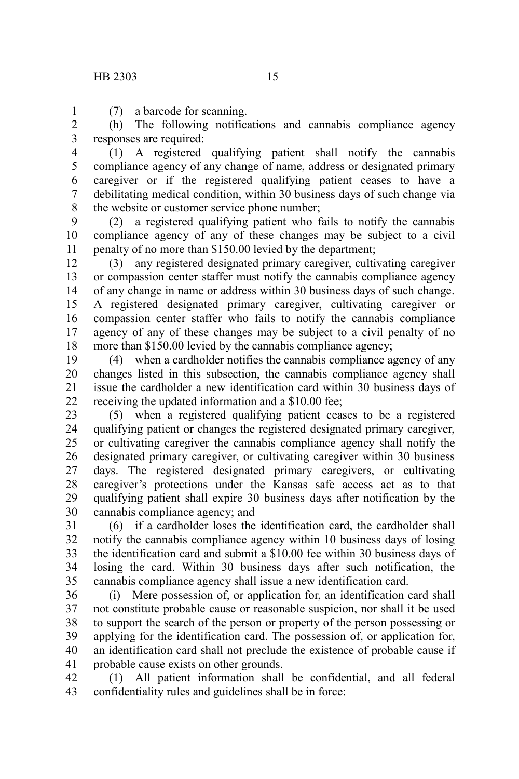(7) a barcode for scanning. 1

(h) The following notifications and cannabis compliance agency responses are required: 2 3

(1) A registered qualifying patient shall notify the cannabis compliance agency of any change of name, address or designated primary caregiver or if the registered qualifying patient ceases to have a debilitating medical condition, within 30 business days of such change via the website or customer service phone number; 4 5 6 7 8

(2) a registered qualifying patient who fails to notify the cannabis compliance agency of any of these changes may be subject to a civil penalty of no more than \$150.00 levied by the department; 9 10 11

(3) any registered designated primary caregiver, cultivating caregiver or compassion center staffer must notify the cannabis compliance agency of any change in name or address within 30 business days of such change. A registered designated primary caregiver, cultivating caregiver or compassion center staffer who fails to notify the cannabis compliance agency of any of these changes may be subject to a civil penalty of no more than \$150.00 levied by the cannabis compliance agency; 12 13 14 15 16 17 18

(4) when a cardholder notifies the cannabis compliance agency of any changes listed in this subsection, the cannabis compliance agency shall issue the cardholder a new identification card within 30 business days of receiving the updated information and a \$10.00 fee; 19 20 21 22

(5) when a registered qualifying patient ceases to be a registered qualifying patient or changes the registered designated primary caregiver, or cultivating caregiver the cannabis compliance agency shall notify the designated primary caregiver, or cultivating caregiver within 30 business days. The registered designated primary caregivers, or cultivating caregiver's protections under the Kansas safe access act as to that qualifying patient shall expire 30 business days after notification by the cannabis compliance agency; and 23 24 25 26 27 28 29 30

(6) if a cardholder loses the identification card, the cardholder shall notify the cannabis compliance agency within 10 business days of losing the identification card and submit a \$10.00 fee within 30 business days of losing the card. Within 30 business days after such notification, the cannabis compliance agency shall issue a new identification card. 31 32 33 34 35

(i) Mere possession of, or application for, an identification card shall not constitute probable cause or reasonable suspicion, nor shall it be used to support the search of the person or property of the person possessing or applying for the identification card. The possession of, or application for, an identification card shall not preclude the existence of probable cause if probable cause exists on other grounds. 36 37 38 39 40 41

(1) All patient information shall be confidential, and all federal confidentiality rules and guidelines shall be in force: 42 43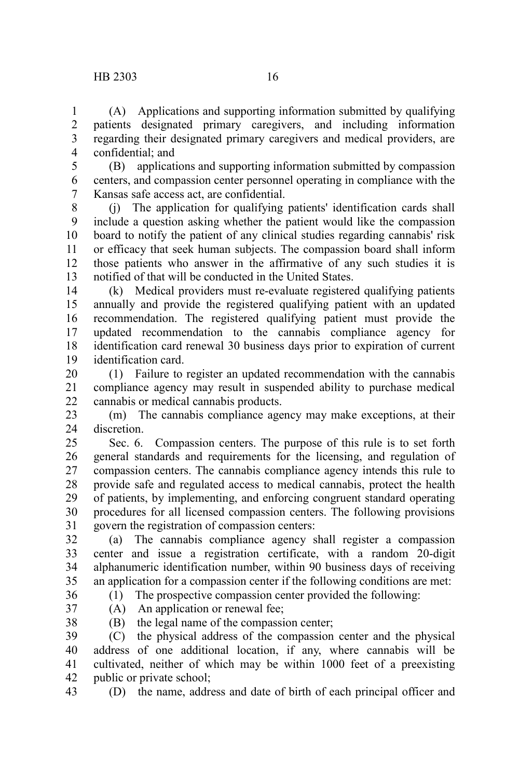(A) Applications and supporting information submitted by qualifying patients designated primary caregivers, and including information regarding their designated primary caregivers and medical providers, are confidential; and 1 2 3 4

(B) applications and supporting information submitted by compassion centers, and compassion center personnel operating in compliance with the Kansas safe access act, are confidential. 5 6 7

(j) The application for qualifying patients' identification cards shall include a question asking whether the patient would like the compassion board to notify the patient of any clinical studies regarding cannabis' risk or efficacy that seek human subjects. The compassion board shall inform those patients who answer in the affirmative of any such studies it is notified of that will be conducted in the United States. 8 9 10 11 12 13

(k) Medical providers must re-evaluate registered qualifying patients annually and provide the registered qualifying patient with an updated recommendation. The registered qualifying patient must provide the updated recommendation to the cannabis compliance agency for identification card renewal 30 business days prior to expiration of current identification card. 14 15 16 17 18 19

(1) Failure to register an updated recommendation with the cannabis compliance agency may result in suspended ability to purchase medical cannabis or medical cannabis products. 20 21 22

(m) The cannabis compliance agency may make exceptions, at their discretion. 24

Sec. 6. Compassion centers. The purpose of this rule is to set forth general standards and requirements for the licensing, and regulation of compassion centers. The cannabis compliance agency intends this rule to provide safe and regulated access to medical cannabis, protect the health of patients, by implementing, and enforcing congruent standard operating procedures for all licensed compassion centers. The following provisions govern the registration of compassion centers:  $25$ 26 27 28 29 30 31

(a) The cannabis compliance agency shall register a compassion center and issue a registration certificate, with a random 20-digit alphanumeric identification number, within 90 business days of receiving an application for a compassion center if the following conditions are met: 32 33 34 35

(1) The prospective compassion center provided the following:

36 37 38

(A) An application or renewal fee;

(B) the legal name of the compassion center;

(C) the physical address of the compassion center and the physical address of one additional location, if any, where cannabis will be cultivated, neither of which may be within 1000 feet of a preexisting public or private school; 39 40 41 42

(D) the name, address and date of birth of each principal officer and 43

23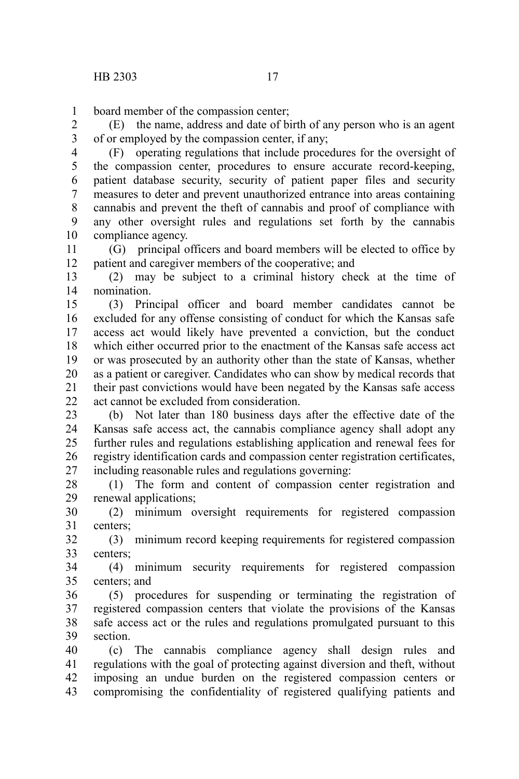board member of the compassion center; 1

(E) the name, address and date of birth of any person who is an agent of or employed by the compassion center, if any; 2 3

(F) operating regulations that include procedures for the oversight of the compassion center, procedures to ensure accurate record-keeping, patient database security, security of patient paper files and security measures to deter and prevent unauthorized entrance into areas containing cannabis and prevent the theft of cannabis and proof of compliance with any other oversight rules and regulations set forth by the cannabis compliance agency. 4 5 6 7 8 9 10

(G) principal officers and board members will be elected to office by patient and caregiver members of the cooperative; and 11 12

(2) may be subject to a criminal history check at the time of nomination. 13 14

(3) Principal officer and board member candidates cannot be excluded for any offense consisting of conduct for which the Kansas safe access act would likely have prevented a conviction, but the conduct which either occurred prior to the enactment of the Kansas safe access act or was prosecuted by an authority other than the state of Kansas, whether as a patient or caregiver. Candidates who can show by medical records that their past convictions would have been negated by the Kansas safe access act cannot be excluded from consideration. 15 16 17 18 19 20 21 22

(b) Not later than 180 business days after the effective date of the Kansas safe access act, the cannabis compliance agency shall adopt any further rules and regulations establishing application and renewal fees for registry identification cards and compassion center registration certificates, including reasonable rules and regulations governing: 23 24 25 26 27

(1) The form and content of compassion center registration and renewal applications; 28 29

(2) minimum oversight requirements for registered compassion centers; 30 31

(3) minimum record keeping requirements for registered compassion centers; 32 33

(4) minimum security requirements for registered compassion centers; and 34 35

(5) procedures for suspending or terminating the registration of registered compassion centers that violate the provisions of the Kansas safe access act or the rules and regulations promulgated pursuant to this section. 36 37 38 39

(c) The cannabis compliance agency shall design rules and regulations with the goal of protecting against diversion and theft, without imposing an undue burden on the registered compassion centers or compromising the confidentiality of registered qualifying patients and 40 41 42 43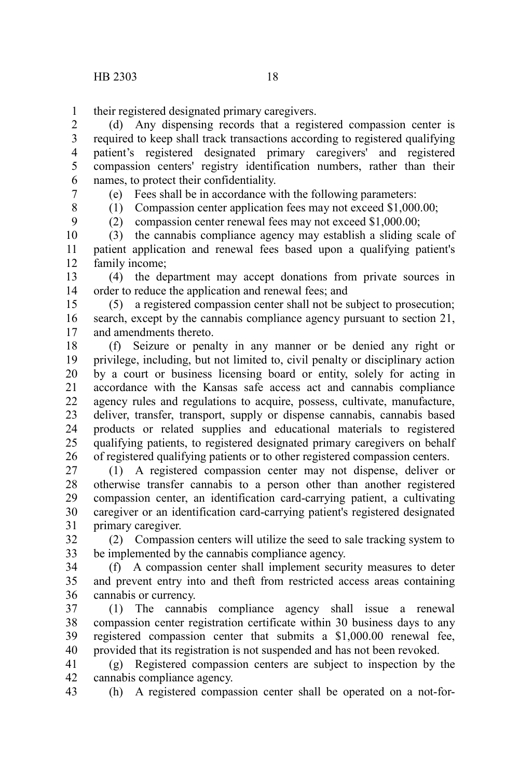their registered designated primary caregivers. 1

(d) Any dispensing records that a registered compassion center is required to keep shall track transactions according to registered qualifying patient's registered designated primary caregivers' and registered compassion centers' registry identification numbers, rather than their names, to protect their confidentiality. 2 3 4 5 6

7

(e) Fees shall be in accordance with the following parameters:

8

(1) Compassion center application fees may not exceed \$1,000.00;

9

(2) compassion center renewal fees may not exceed \$1,000.00;

(3) the cannabis compliance agency may establish a sliding scale of patient application and renewal fees based upon a qualifying patient's family income; 10 11 12

(4) the department may accept donations from private sources in order to reduce the application and renewal fees; and 13 14

(5) a registered compassion center shall not be subject to prosecution; search, except by the cannabis compliance agency pursuant to section 21, and amendments thereto. 15 16 17

(f) Seizure or penalty in any manner or be denied any right or privilege, including, but not limited to, civil penalty or disciplinary action by a court or business licensing board or entity, solely for acting in accordance with the Kansas safe access act and cannabis compliance agency rules and regulations to acquire, possess, cultivate, manufacture, deliver, transfer, transport, supply or dispense cannabis, cannabis based products or related supplies and educational materials to registered qualifying patients, to registered designated primary caregivers on behalf of registered qualifying patients or to other registered compassion centers. 18 19 20 21 22 23 24 25 26

(1) A registered compassion center may not dispense, deliver or otherwise transfer cannabis to a person other than another registered compassion center, an identification card-carrying patient, a cultivating caregiver or an identification card-carrying patient's registered designated primary caregiver. 27 28 29 30 31

(2) Compassion centers will utilize the seed to sale tracking system to be implemented by the cannabis compliance agency. 32 33

(f) A compassion center shall implement security measures to deter and prevent entry into and theft from restricted access areas containing cannabis or currency. 34 35 36

(1) The cannabis compliance agency shall issue a renewal compassion center registration certificate within 30 business days to any registered compassion center that submits a \$1,000.00 renewal fee, provided that its registration is not suspended and has not been revoked. 37 38 39 40

(g) Registered compassion centers are subject to inspection by the cannabis compliance agency. 41 42

(h) A registered compassion center shall be operated on a not-for-43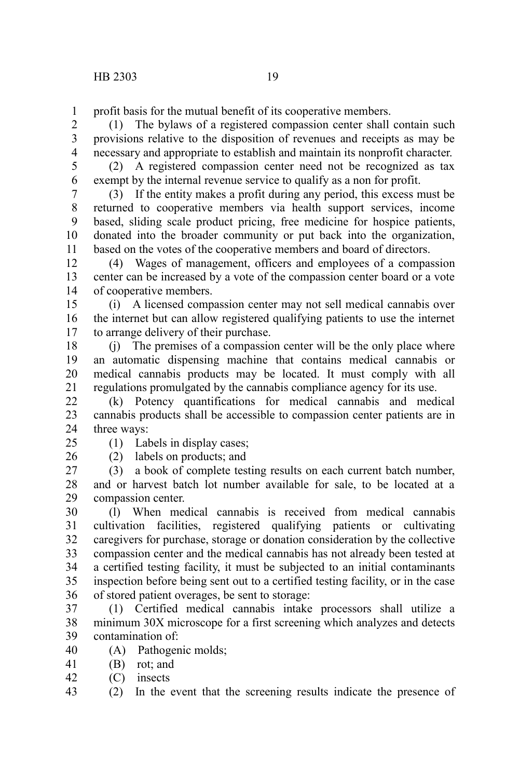profit basis for the mutual benefit of its cooperative members. 1

(1) The bylaws of a registered compassion center shall contain such provisions relative to the disposition of revenues and receipts as may be necessary and appropriate to establish and maintain its nonprofit character. 2 3 4

5

(2) A registered compassion center need not be recognized as tax exempt by the internal revenue service to qualify as a non for profit. 6

(3) If the entity makes a profit during any period, this excess must be returned to cooperative members via health support services, income based, sliding scale product pricing, free medicine for hospice patients, donated into the broader community or put back into the organization, based on the votes of the cooperative members and board of directors. 7 8 9 10 11

(4) Wages of management, officers and employees of a compassion center can be increased by a vote of the compassion center board or a vote of cooperative members. 12 13 14

(i) A licensed compassion center may not sell medical cannabis over the internet but can allow registered qualifying patients to use the internet to arrange delivery of their purchase. 15 16 17

(j) The premises of a compassion center will be the only place where an automatic dispensing machine that contains medical cannabis or medical cannabis products may be located. It must comply with all regulations promulgated by the cannabis compliance agency for its use. 18 19 20 21

(k) Potency quantifications for medical cannabis and medical cannabis products shall be accessible to compassion center patients are in three ways: 22 23 24

 $25$ 

(1) Labels in display cases;

26

(2) labels on products; and

(3) a book of complete testing results on each current batch number, and or harvest batch lot number available for sale, to be located at a compassion center. 27 28 29

(l) When medical cannabis is received from medical cannabis cultivation facilities, registered qualifying patients or cultivating caregivers for purchase, storage or donation consideration by the collective compassion center and the medical cannabis has not already been tested at a certified testing facility, it must be subjected to an initial contaminants inspection before being sent out to a certified testing facility, or in the case of stored patient overages, be sent to storage: 30 31 32 33 34 35 36

(1) Certified medical cannabis intake processors shall utilize a minimum 30X microscope for a first screening which analyzes and detects contamination of: 37 38 39

(A) Pathogenic molds; 40

(B) rot; and 41

(C) insects 42

(2) In the event that the screening results indicate the presence of 43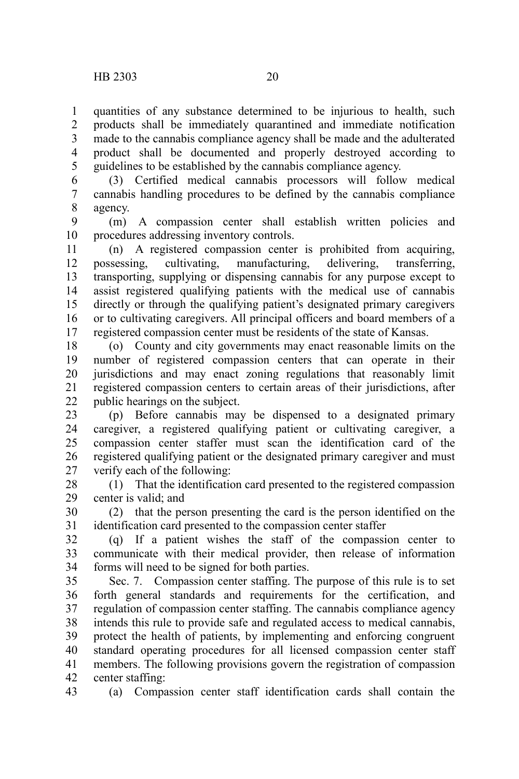43

quantities of any substance determined to be injurious to health, such products shall be immediately quarantined and immediate notification made to the cannabis compliance agency shall be made and the adulterated product shall be documented and properly destroyed according to guidelines to be established by the cannabis compliance agency. 1 2 3 4 5

(3) Certified medical cannabis processors will follow medical cannabis handling procedures to be defined by the cannabis compliance agency. 6 7 8

(m) A compassion center shall establish written policies and procedures addressing inventory controls. 9 10

(n) A registered compassion center is prohibited from acquiring, possessing, cultivating, manufacturing, delivering, transferring, transporting, supplying or dispensing cannabis for any purpose except to assist registered qualifying patients with the medical use of cannabis directly or through the qualifying patient's designated primary caregivers or to cultivating caregivers. All principal officers and board members of a registered compassion center must be residents of the state of Kansas. 11 12 13 14 15 16 17

(o) County and city governments may enact reasonable limits on the number of registered compassion centers that can operate in their jurisdictions and may enact zoning regulations that reasonably limit registered compassion centers to certain areas of their jurisdictions, after public hearings on the subject. 18 19 20 21 22

(p) Before cannabis may be dispensed to a designated primary caregiver, a registered qualifying patient or cultivating caregiver, a compassion center staffer must scan the identification card of the registered qualifying patient or the designated primary caregiver and must verify each of the following: 23 24 25 26 27

(1) That the identification card presented to the registered compassion center is valid; and 28 29

(2) that the person presenting the card is the person identified on the identification card presented to the compassion center staffer 30 31

(q) If a patient wishes the staff of the compassion center to communicate with their medical provider, then release of information forms will need to be signed for both parties. 32 33 34

Sec. 7. Compassion center staffing. The purpose of this rule is to set forth general standards and requirements for the certification, and regulation of compassion center staffing. The cannabis compliance agency intends this rule to provide safe and regulated access to medical cannabis, protect the health of patients, by implementing and enforcing congruent standard operating procedures for all licensed compassion center staff members. The following provisions govern the registration of compassion center staffing: 35 36 37 38 39 40 41 42

(a) Compassion center staff identification cards shall contain the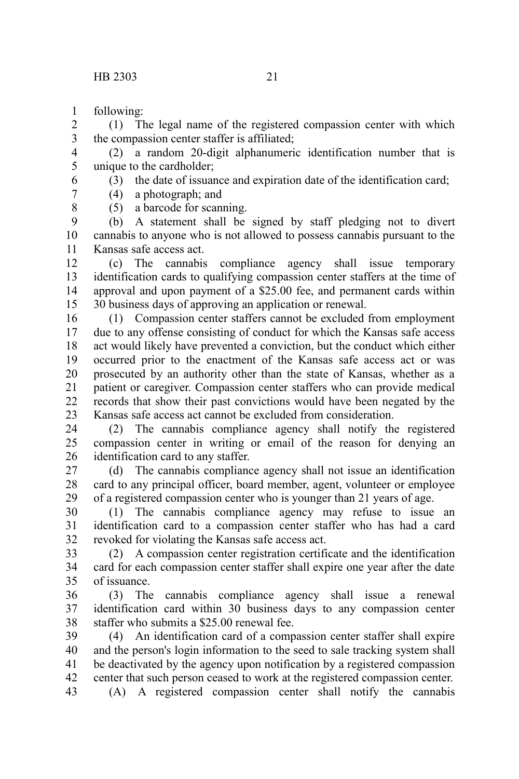following: 1

6

8

(1) The legal name of the registered compassion center with which the compassion center staffer is affiliated; 2 3

(2) a random 20-digit alphanumeric identification number that is unique to the cardholder; 4 5

(3) the date of issuance and expiration date of the identification card;

(4) a photograph; and 7

(5) a barcode for scanning.

(b) A statement shall be signed by staff pledging not to divert cannabis to anyone who is not allowed to possess cannabis pursuant to the Kansas safe access act. 9 10 11

(c) The cannabis compliance agency shall issue temporary identification cards to qualifying compassion center staffers at the time of approval and upon payment of a \$25.00 fee, and permanent cards within 30 business days of approving an application or renewal. 12 13 14 15

(1) Compassion center staffers cannot be excluded from employment due to any offense consisting of conduct for which the Kansas safe access act would likely have prevented a conviction, but the conduct which either occurred prior to the enactment of the Kansas safe access act or was prosecuted by an authority other than the state of Kansas, whether as a patient or caregiver. Compassion center staffers who can provide medical records that show their past convictions would have been negated by the Kansas safe access act cannot be excluded from consideration. 16 17 18 19 20 21 22 23

(2) The cannabis compliance agency shall notify the registered compassion center in writing or email of the reason for denying an identification card to any staffer. 24 25 26

(d) The cannabis compliance agency shall not issue an identification card to any principal officer, board member, agent, volunteer or employee of a registered compassion center who is younger than 21 years of age. 27 28 29

(1) The cannabis compliance agency may refuse to issue an identification card to a compassion center staffer who has had a card revoked for violating the Kansas safe access act. 30 31 32

(2) A compassion center registration certificate and the identification card for each compassion center staffer shall expire one year after the date of issuance. 33 34 35

(3) The cannabis compliance agency shall issue a renewal identification card within 30 business days to any compassion center staffer who submits a \$25.00 renewal fee. 36 37 38

(4) An identification card of a compassion center staffer shall expire and the person's login information to the seed to sale tracking system shall be deactivated by the agency upon notification by a registered compassion center that such person ceased to work at the registered compassion center. 39 40 41 42

(A) A registered compassion center shall notify the cannabis 43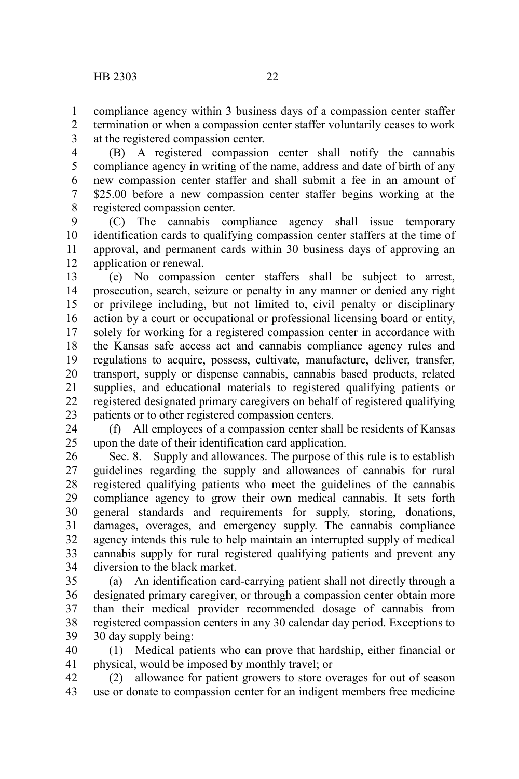compliance agency within 3 business days of a compassion center staffer termination or when a compassion center staffer voluntarily ceases to work at the registered compassion center. 1 2 3

(B) A registered compassion center shall notify the cannabis compliance agency in writing of the name, address and date of birth of any new compassion center staffer and shall submit a fee in an amount of \$25.00 before a new compassion center staffer begins working at the registered compassion center. 4 5 6 7 8

(C) The cannabis compliance agency shall issue temporary identification cards to qualifying compassion center staffers at the time of approval, and permanent cards within 30 business days of approving an application or renewal. 9 10 11 12

(e) No compassion center staffers shall be subject to arrest, prosecution, search, seizure or penalty in any manner or denied any right or privilege including, but not limited to, civil penalty or disciplinary action by a court or occupational or professional licensing board or entity, solely for working for a registered compassion center in accordance with the Kansas safe access act and cannabis compliance agency rules and regulations to acquire, possess, cultivate, manufacture, deliver, transfer, transport, supply or dispense cannabis, cannabis based products, related supplies, and educational materials to registered qualifying patients or registered designated primary caregivers on behalf of registered qualifying patients or to other registered compassion centers. 13 14 15 16 17 18 19 20 21 22 23

(f) All employees of a compassion center shall be residents of Kansas upon the date of their identification card application. 24 25

Sec. 8. Supply and allowances. The purpose of this rule is to establish guidelines regarding the supply and allowances of cannabis for rural registered qualifying patients who meet the guidelines of the cannabis compliance agency to grow their own medical cannabis. It sets forth general standards and requirements for supply, storing, donations, damages, overages, and emergency supply. The cannabis compliance agency intends this rule to help maintain an interrupted supply of medical cannabis supply for rural registered qualifying patients and prevent any diversion to the black market. 26 27 28 29 30 31 32 33 34

(a) An identification card-carrying patient shall not directly through a designated primary caregiver, or through a compassion center obtain more than their medical provider recommended dosage of cannabis from registered compassion centers in any 30 calendar day period. Exceptions to 30 day supply being: 35 36 37 38 39

(1) Medical patients who can prove that hardship, either financial or physical, would be imposed by monthly travel; or 40 41

(2) allowance for patient growers to store overages for out of season use or donate to compassion center for an indigent members free medicine 42 43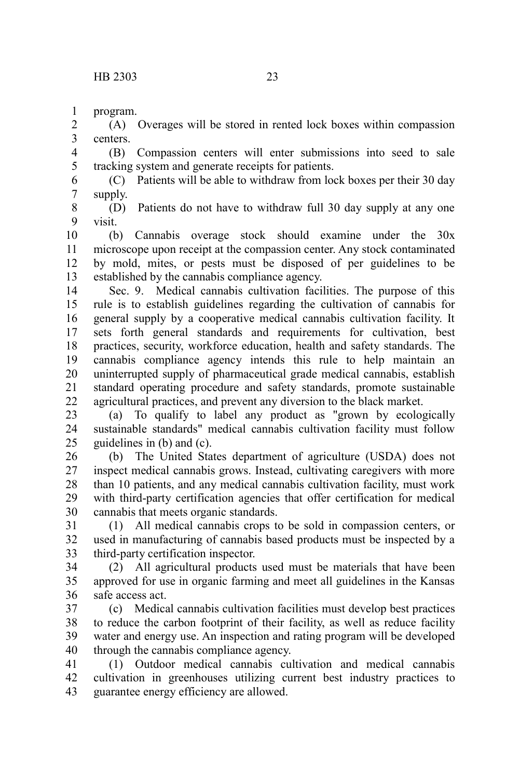program. 1

(A) Overages will be stored in rented lock boxes within compassion centers. 2 3

(B) Compassion centers will enter submissions into seed to sale tracking system and generate receipts for patients. 4 5

(C) Patients will be able to withdraw from lock boxes per their 30 day supply. 6 7

(D) Patients do not have to withdraw full 30 day supply at any one visit. 8 9

(b) Cannabis overage stock should examine under the 30x microscope upon receipt at the compassion center. Any stock contaminated by mold, mites, or pests must be disposed of per guidelines to be established by the cannabis compliance agency. 10 11 12 13

Sec. 9. Medical cannabis cultivation facilities. The purpose of this rule is to establish guidelines regarding the cultivation of cannabis for general supply by a cooperative medical cannabis cultivation facility. It sets forth general standards and requirements for cultivation, best practices, security, workforce education, health and safety standards. The cannabis compliance agency intends this rule to help maintain an uninterrupted supply of pharmaceutical grade medical cannabis, establish standard operating procedure and safety standards, promote sustainable agricultural practices, and prevent any diversion to the black market. 14 15 16 17 18 19 20 21 22

(a) To qualify to label any product as "grown by ecologically sustainable standards" medical cannabis cultivation facility must follow guidelines in (b) and (c). 23 24 25

(b) The United States department of agriculture (USDA) does not inspect medical cannabis grows. Instead, cultivating caregivers with more than 10 patients, and any medical cannabis cultivation facility, must work with third-party certification agencies that offer certification for medical cannabis that meets organic standards. 26 27 28 29 30

(1) All medical cannabis crops to be sold in compassion centers, or used in manufacturing of cannabis based products must be inspected by a third-party certification inspector. 31 32 33

(2) All agricultural products used must be materials that have been approved for use in organic farming and meet all guidelines in the Kansas safe access act. 34 35 36

(c) Medical cannabis cultivation facilities must develop best practices to reduce the carbon footprint of their facility, as well as reduce facility water and energy use. An inspection and rating program will be developed through the cannabis compliance agency. 37 38 39 40

(1) Outdoor medical cannabis cultivation and medical cannabis cultivation in greenhouses utilizing current best industry practices to guarantee energy efficiency are allowed. 41 42 43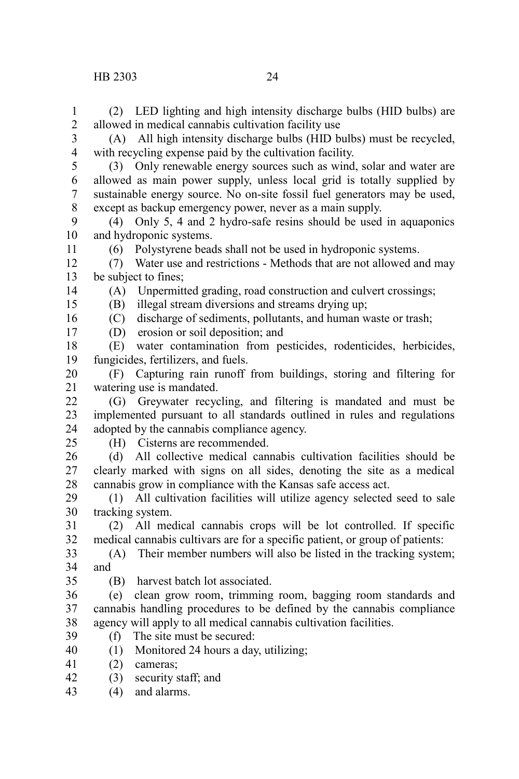(2) LED lighting and high intensity discharge bulbs (HID bulbs) are allowed in medical cannabis cultivation facility use 1  $\mathcal{L}$ 

(A) All high intensity discharge bulbs (HID bulbs) must be recycled, with recycling expense paid by the cultivation facility. 3 4

(3) Only renewable energy sources such as wind, solar and water are allowed as main power supply, unless local grid is totally supplied by sustainable energy source. No on-site fossil fuel generators may be used, except as backup emergency power, never as a main supply. 5 6 7 8

(4) Only 5, 4 and 2 hydro-safe resins should be used in aquaponics and hydroponic systems. 9 10

(6) Polystyrene beads shall not be used in hydroponic systems.

(7) Water use and restrictions - Methods that are not allowed and may be subject to fines; 12 13

14 15

11

(A) Unpermitted grading, road construction and culvert crossings; (B) illegal stream diversions and streams drying up;

(C) discharge of sediments, pollutants, and human waste or trash; 16

(D) erosion or soil deposition; and 17

(E) water contamination from pesticides, rodenticides, herbicides, fungicides, fertilizers, and fuels. 18 19

(F) Capturing rain runoff from buildings, storing and filtering for watering use is mandated. 20 21

(G) Greywater recycling, and filtering is mandated and must be implemented pursuant to all standards outlined in rules and regulations adopted by the cannabis compliance agency.  $22$ 23 24

25

(H) Cisterns are recommended.

(d) All collective medical cannabis cultivation facilities should be clearly marked with signs on all sides, denoting the site as a medical cannabis grow in compliance with the Kansas safe access act. 26 27 28

(1) All cultivation facilities will utilize agency selected seed to sale tracking system. 29 30

(2) All medical cannabis crops will be lot controlled. If specific medical cannabis cultivars are for a specific patient, or group of patients: 31 32

(A) Their member numbers will also be listed in the tracking system; and 33 34

35

(B) harvest batch lot associated.

(e) clean grow room, trimming room, bagging room standards and cannabis handling procedures to be defined by the cannabis compliance agency will apply to all medical cannabis cultivation facilities. 36 37 38

- (f) The site must be secured: 39
- (1) Monitored 24 hours a day, utilizing; 40
- (2) cameras; 41
- (3) security staff; and 42
- (4) and alarms. 43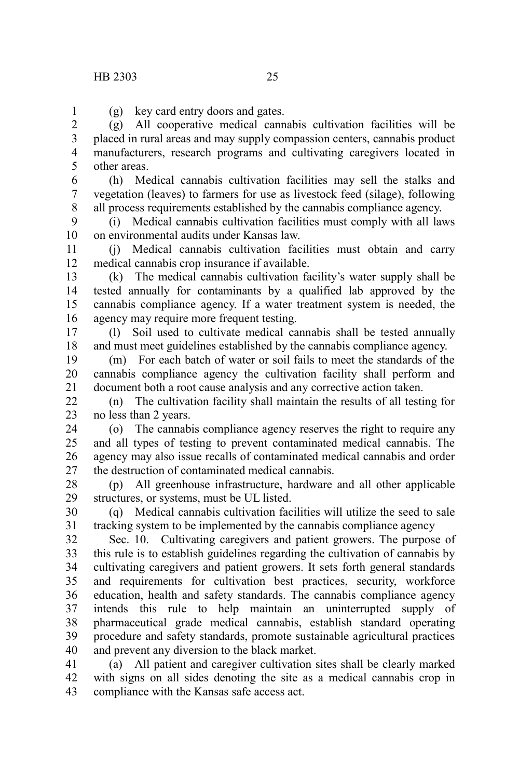1

(g) key card entry doors and gates.

(g) All cooperative medical cannabis cultivation facilities will be placed in rural areas and may supply compassion centers, cannabis product manufacturers, research programs and cultivating caregivers located in other areas. 2 3 4 5

(h) Medical cannabis cultivation facilities may sell the stalks and vegetation (leaves) to farmers for use as livestock feed (silage), following all process requirements established by the cannabis compliance agency. 6 7 8

(i) Medical cannabis cultivation facilities must comply with all laws on environmental audits under Kansas law. 9 10

(j) Medical cannabis cultivation facilities must obtain and carry medical cannabis crop insurance if available. 11 12

(k) The medical cannabis cultivation facility's water supply shall be tested annually for contaminants by a qualified lab approved by the cannabis compliance agency. If a water treatment system is needed, the agency may require more frequent testing. 13 14 15 16

(l) Soil used to cultivate medical cannabis shall be tested annually and must meet guidelines established by the cannabis compliance agency. 17 18

(m) For each batch of water or soil fails to meet the standards of the cannabis compliance agency the cultivation facility shall perform and document both a root cause analysis and any corrective action taken. 19 20 21

(n) The cultivation facility shall maintain the results of all testing for no less than 2 years.  $22$ 23

(o) The cannabis compliance agency reserves the right to require any and all types of testing to prevent contaminated medical cannabis. The agency may also issue recalls of contaminated medical cannabis and order the destruction of contaminated medical cannabis. 24 25 26 27

(p) All greenhouse infrastructure, hardware and all other applicable structures, or systems, must be UL listed. 28 29

(q) Medical cannabis cultivation facilities will utilize the seed to sale tracking system to be implemented by the cannabis compliance agency 30 31

Sec. 10. Cultivating caregivers and patient growers. The purpose of this rule is to establish guidelines regarding the cultivation of cannabis by cultivating caregivers and patient growers. It sets forth general standards and requirements for cultivation best practices, security, workforce education, health and safety standards. The cannabis compliance agency intends this rule to help maintain an uninterrupted supply of pharmaceutical grade medical cannabis, establish standard operating procedure and safety standards, promote sustainable agricultural practices and prevent any diversion to the black market. 32 33 34 35 36 37 38 39 40

(a) All patient and caregiver cultivation sites shall be clearly marked with signs on all sides denoting the site as a medical cannabis crop in compliance with the Kansas safe access act. 41 42 43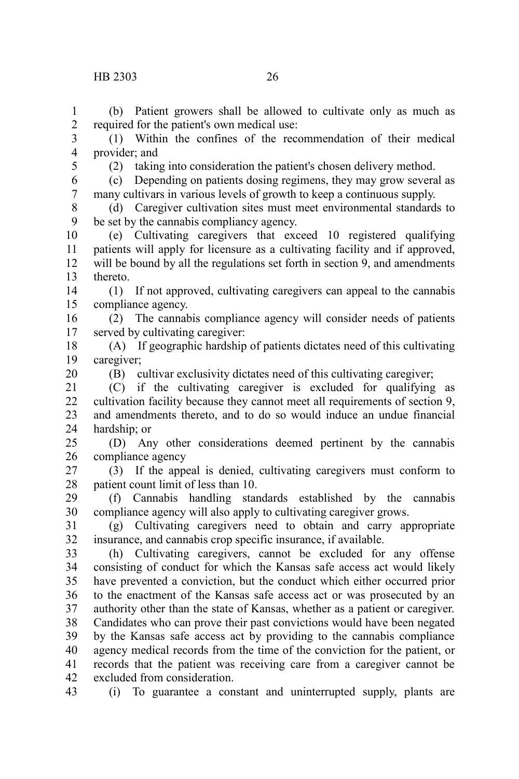### HB 2303 26

(b) Patient growers shall be allowed to cultivate only as much as required for the patient's own medical use: 1 2

(1) Within the confines of the recommendation of their medical provider; and 3 4

5

(2) taking into consideration the patient's chosen delivery method.

(c) Depending on patients dosing regimens, they may grow several as many cultivars in various levels of growth to keep a continuous supply. 6 7

(d) Caregiver cultivation sites must meet environmental standards to be set by the cannabis compliancy agency. 8 9

(e) Cultivating caregivers that exceed 10 registered qualifying patients will apply for licensure as a cultivating facility and if approved, will be bound by all the regulations set forth in section 9, and amendments thereto. 10 11 12 13

(1) If not approved, cultivating caregivers can appeal to the cannabis compliance agency. 14 15

(2) The cannabis compliance agency will consider needs of patients served by cultivating caregiver: 16 17

(A) If geographic hardship of patients dictates need of this cultivating caregiver; 18 19

20

(B) cultivar exclusivity dictates need of this cultivating caregiver;

(C) if the cultivating caregiver is excluded for qualifying as cultivation facility because they cannot meet all requirements of section 9, and amendments thereto, and to do so would induce an undue financial hardship; or 21 22 23 24

(D) Any other considerations deemed pertinent by the cannabis compliance agency 25 26

(3) If the appeal is denied, cultivating caregivers must conform to patient count limit of less than 10. 27 28

(f) Cannabis handling standards established by the cannabis compliance agency will also apply to cultivating caregiver grows. 29 30

(g) Cultivating caregivers need to obtain and carry appropriate insurance, and cannabis crop specific insurance, if available. 31 32

(h) Cultivating caregivers, cannot be excluded for any offense consisting of conduct for which the Kansas safe access act would likely have prevented a conviction, but the conduct which either occurred prior to the enactment of the Kansas safe access act or was prosecuted by an authority other than the state of Kansas, whether as a patient or caregiver. Candidates who can prove their past convictions would have been negated by the Kansas safe access act by providing to the cannabis compliance agency medical records from the time of the conviction for the patient, or records that the patient was receiving care from a caregiver cannot be excluded from consideration. 33 34 35 36 37 38 39 40 41 42

43

(i) To guarantee a constant and uninterrupted supply, plants are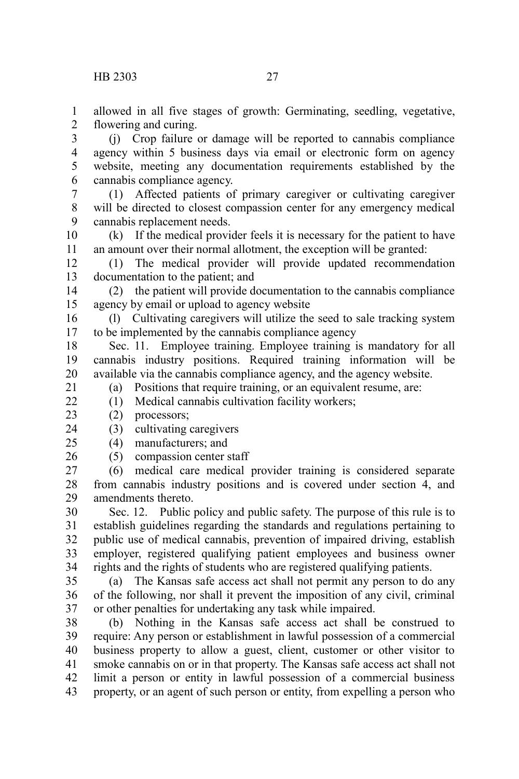allowed in all five stages of growth: Germinating, seedling, vegetative, flowering and curing. 1 2

(j) Crop failure or damage will be reported to cannabis compliance agency within 5 business days via email or electronic form on agency website, meeting any documentation requirements established by the cannabis compliance agency. 3 4 5 6

(1) Affected patients of primary caregiver or cultivating caregiver will be directed to closest compassion center for any emergency medical cannabis replacement needs. 7 8 9

(k) If the medical provider feels it is necessary for the patient to have an amount over their normal allotment, the exception will be granted: 10 11

(1) The medical provider will provide updated recommendation documentation to the patient; and 12 13

(2) the patient will provide documentation to the cannabis compliance agency by email or upload to agency website 14 15

(l) Cultivating caregivers will utilize the seed to sale tracking system to be implemented by the cannabis compliance agency 16 17

Sec. 11. Employee training. Employee training is mandatory for all cannabis industry positions. Required training information will be available via the cannabis compliance agency, and the agency website. 18 19 20 21

(a) Positions that require training, or an equivalent resume, are:

(1) Medical cannabis cultivation facility workers;

(2) processors; 23

 $22$ 

(3) cultivating caregivers 24

(4) manufacturers; and  $25$ 

(5) compassion center staff 26

(6) medical care medical provider training is considered separate from cannabis industry positions and is covered under section 4, and amendments thereto. 27 28 29

Sec. 12. Public policy and public safety. The purpose of this rule is to establish guidelines regarding the standards and regulations pertaining to public use of medical cannabis, prevention of impaired driving, establish employer, registered qualifying patient employees and business owner rights and the rights of students who are registered qualifying patients. 30 31 32 33 34

(a) The Kansas safe access act shall not permit any person to do any of the following, nor shall it prevent the imposition of any civil, criminal or other penalties for undertaking any task while impaired. 35 36 37

(b) Nothing in the Kansas safe access act shall be construed to require: Any person or establishment in lawful possession of a commercial business property to allow a guest, client, customer or other visitor to smoke cannabis on or in that property. The Kansas safe access act shall not limit a person or entity in lawful possession of a commercial business property, or an agent of such person or entity, from expelling a person who 38 39 40 41 42 43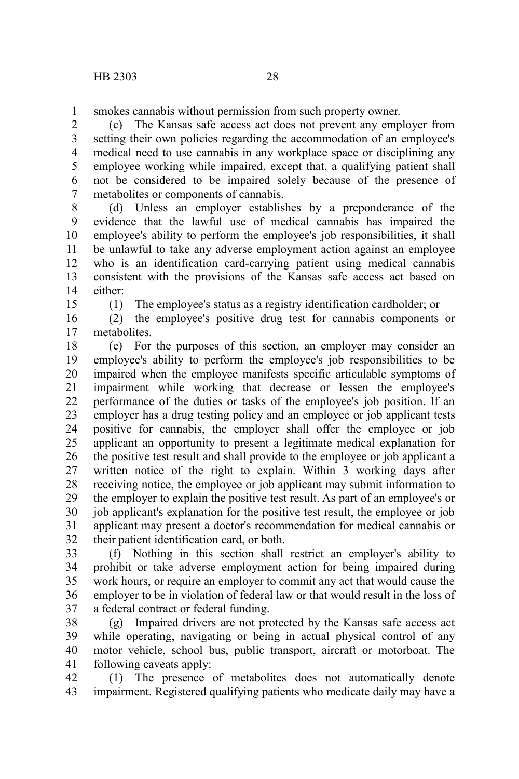smokes cannabis without permission from such property owner. 1

(c) The Kansas safe access act does not prevent any employer from setting their own policies regarding the accommodation of an employee's medical need to use cannabis in any workplace space or disciplining any employee working while impaired, except that, a qualifying patient shall not be considered to be impaired solely because of the presence of metabolites or components of cannabis. 2 3 4 5 6 7

(d) Unless an employer establishes by a preponderance of the evidence that the lawful use of medical cannabis has impaired the employee's ability to perform the employee's job responsibilities, it shall be unlawful to take any adverse employment action against an employee who is an identification card-carrying patient using medical cannabis consistent with the provisions of the Kansas safe access act based on either: 8 9 10 11 12 13 14

15

(1) The employee's status as a registry identification cardholder; or

(2) the employee's positive drug test for cannabis components or metabolites. 16 17

(e) For the purposes of this section, an employer may consider an employee's ability to perform the employee's job responsibilities to be impaired when the employee manifests specific articulable symptoms of impairment while working that decrease or lessen the employee's performance of the duties or tasks of the employee's job position. If an employer has a drug testing policy and an employee or job applicant tests positive for cannabis, the employer shall offer the employee or job applicant an opportunity to present a legitimate medical explanation for the positive test result and shall provide to the employee or job applicant a written notice of the right to explain. Within 3 working days after receiving notice, the employee or job applicant may submit information to the employer to explain the positive test result. As part of an employee's or job applicant's explanation for the positive test result, the employee or job applicant may present a doctor's recommendation for medical cannabis or their patient identification card, or both. 18 19 20 21 22 23 24 25 26 27 28 29 30 31 32

(f) Nothing in this section shall restrict an employer's ability to prohibit or take adverse employment action for being impaired during work hours, or require an employer to commit any act that would cause the employer to be in violation of federal law or that would result in the loss of a federal contract or federal funding. 33 34 35 36 37

(g) Impaired drivers are not protected by the Kansas safe access act while operating, navigating or being in actual physical control of any motor vehicle, school bus, public transport, aircraft or motorboat. The following caveats apply: 38 39 40 41

(1) The presence of metabolites does not automatically denote impairment. Registered qualifying patients who medicate daily may have a 42 43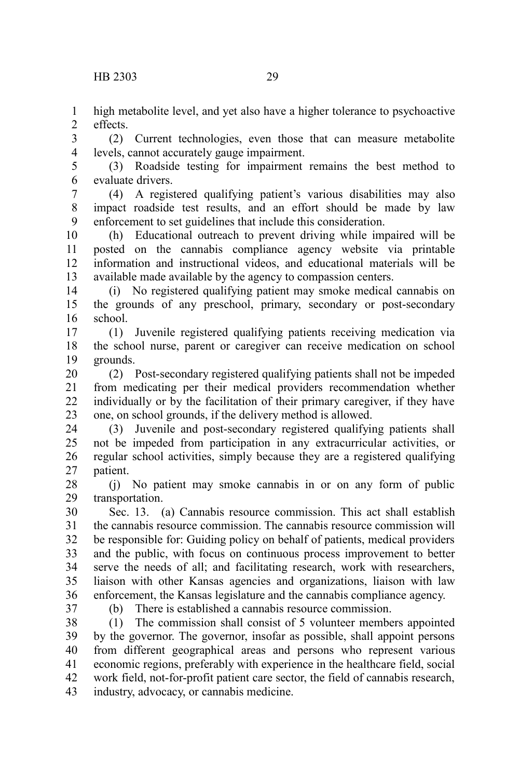high metabolite level, and yet also have a higher tolerance to psychoactive effects. 1  $\mathcal{L}$ 

(2) Current technologies, even those that can measure metabolite levels, cannot accurately gauge impairment. 3 4

(3) Roadside testing for impairment remains the best method to evaluate drivers. 5 6

(4) A registered qualifying patient's various disabilities may also impact roadside test results, and an effort should be made by law enforcement to set guidelines that include this consideration. 7 8 9

(h) Educational outreach to prevent driving while impaired will be posted on the cannabis compliance agency website via printable information and instructional videos, and educational materials will be available made available by the agency to compassion centers. 10 11 12 13

(i) No registered qualifying patient may smoke medical cannabis on the grounds of any preschool, primary, secondary or post-secondary school. 14 15 16

(1) Juvenile registered qualifying patients receiving medication via the school nurse, parent or caregiver can receive medication on school grounds. 17 18 19

(2) Post-secondary registered qualifying patients shall not be impeded from medicating per their medical providers recommendation whether individually or by the facilitation of their primary caregiver, if they have one, on school grounds, if the delivery method is allowed. 20 21 22 23

(3) Juvenile and post-secondary registered qualifying patients shall not be impeded from participation in any extracurricular activities, or regular school activities, simply because they are a registered qualifying patient. 24 25 26 27

(j) No patient may smoke cannabis in or on any form of public transportation. 28 29

Sec. 13. (a) Cannabis resource commission. This act shall establish the cannabis resource commission. The cannabis resource commission will be responsible for: Guiding policy on behalf of patients, medical providers and the public, with focus on continuous process improvement to better serve the needs of all; and facilitating research, work with researchers, liaison with other Kansas agencies and organizations, liaison with law enforcement, the Kansas legislature and the cannabis compliance agency. 30 31 32 33 34 35 36

(b) There is established a cannabis resource commission.

(1) The commission shall consist of 5 volunteer members appointed by the governor. The governor, insofar as possible, shall appoint persons from different geographical areas and persons who represent various economic regions, preferably with experience in the healthcare field, social work field, not-for-profit patient care sector, the field of cannabis research, industry, advocacy, or cannabis medicine. 38 39 40 41 42 43

<sup>37</sup>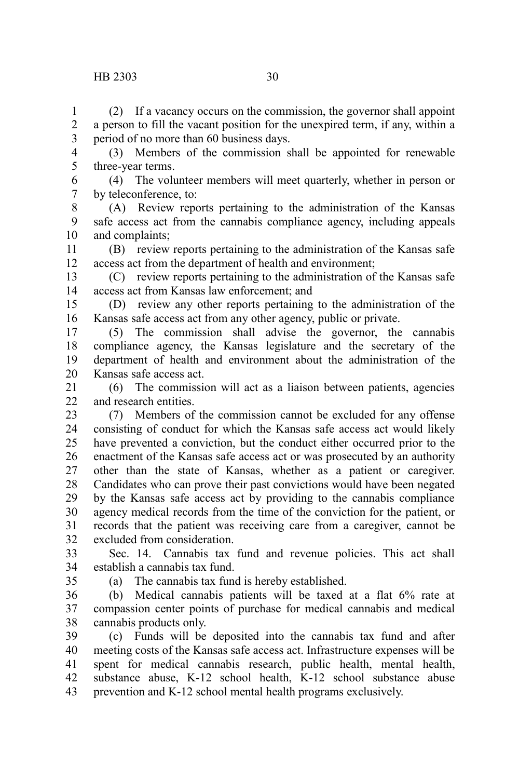### HB 2303 30

(2) If a vacancy occurs on the commission, the governor shall appoint a person to fill the vacant position for the unexpired term, if any, within a period of no more than 60 business days. 1 2 3

(3) Members of the commission shall be appointed for renewable three-year terms. 4 5

(4) The volunteer members will meet quarterly, whether in person or by teleconference, to: 6 7

(A) Review reports pertaining to the administration of the Kansas safe access act from the cannabis compliance agency, including appeals and complaints; 8 9 10

(B) review reports pertaining to the administration of the Kansas safe access act from the department of health and environment; 11 12

(C) review reports pertaining to the administration of the Kansas safe access act from Kansas law enforcement; and 13 14

(D) review any other reports pertaining to the administration of the Kansas safe access act from any other agency, public or private. 15 16

(5) The commission shall advise the governor, the cannabis compliance agency, the Kansas legislature and the secretary of the department of health and environment about the administration of the Kansas safe access act. 17 18 19 20

(6) The commission will act as a liaison between patients, agencies and research entities. 21  $22$ 

(7) Members of the commission cannot be excluded for any offense consisting of conduct for which the Kansas safe access act would likely have prevented a conviction, but the conduct either occurred prior to the enactment of the Kansas safe access act or was prosecuted by an authority other than the state of Kansas, whether as a patient or caregiver. Candidates who can prove their past convictions would have been negated by the Kansas safe access act by providing to the cannabis compliance agency medical records from the time of the conviction for the patient, or records that the patient was receiving care from a caregiver, cannot be excluded from consideration. 23 24 25 26 27 28 29 30 31 32

Sec. 14. Cannabis tax fund and revenue policies. This act shall establish a cannabis tax fund. 33 34

35

(a) The cannabis tax fund is hereby established.

(b) Medical cannabis patients will be taxed at a flat 6% rate at compassion center points of purchase for medical cannabis and medical cannabis products only. 36 37 38

(c) Funds will be deposited into the cannabis tax fund and after meeting costs of the Kansas safe access act. Infrastructure expenses will be spent for medical cannabis research, public health, mental health, substance abuse, K-12 school health, K-12 school substance abuse prevention and K-12 school mental health programs exclusively. 39 40 41 42 43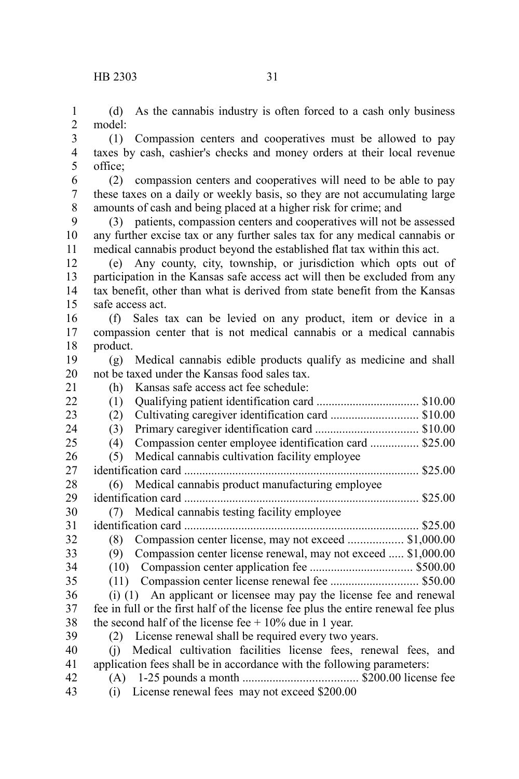(d) As the cannabis industry is often forced to a cash only business model: 1  $\mathcal{L}$ 

(1) Compassion centers and cooperatives must be allowed to pay taxes by cash, cashier's checks and money orders at their local revenue office; 3 4 5

(2) compassion centers and cooperatives will need to be able to pay these taxes on a daily or weekly basis, so they are not accumulating large amounts of cash and being placed at a higher risk for crime; and 6 7 8

(3) patients, compassion centers and cooperatives will not be assessed any further excise tax or any further sales tax for any medical cannabis or medical cannabis product beyond the established flat tax within this act. 9 10 11

(e) Any county, city, township, or jurisdiction which opts out of participation in the Kansas safe access act will then be excluded from any tax benefit, other than what is derived from state benefit from the Kansas safe access act. 12 13 14 15

(f) Sales tax can be levied on any product, item or device in a compassion center that is not medical cannabis or a medical cannabis product. 16 17 18

(g) Medical cannabis edible products qualify as medicine and shall not be taxed under the Kansas food sales tax. 19 20

21

(h) Kansas safe access act fee schedule: (1) Qualifying patient identification card .................................. \$10.00 (2) Cultivating caregiver identification card ............................. \$10.00 (3) Primary caregiver identification card .................................. \$10.00 (4) Compassion center employee identification card ................ \$25.00 (5) Medical cannabis cultivation facility employee identification card .............................................................................. \$25.00 (6) Medical cannabis product manufacturing employee identification card .............................................................................. \$25.00 (7) Medical cannabis testing facility employee identification card .............................................................................. \$25.00 (8) Compassion center license, may not exceed .................. \$1,000.00 (9) Compassion center license renewal, may not exceed ..... \$1,000.00 (10) Compassion center application fee .................................. \$500.00 (11) Compassion center license renewal fee ............................. \$50.00 (i) (1) An applicant or licensee may pay the license fee and renewal fee in full or the first half of the license fee plus the entire renewal fee plus the second half of the license fee  $+10\%$  due in 1 year. (2) License renewal shall be required every two years. (j) Medical cultivation facilities license fees, renewal fees, and application fees shall be in accordance with the following parameters: (A) 1-25 pounds a month ...................................... \$200.00 license fee  $22$ 23 24  $25$ 26 27 28 29 30 31 32 33 34 35 36 37 38 39 40 41 42

- 43
- (i) License renewal fees may not exceed \$200.00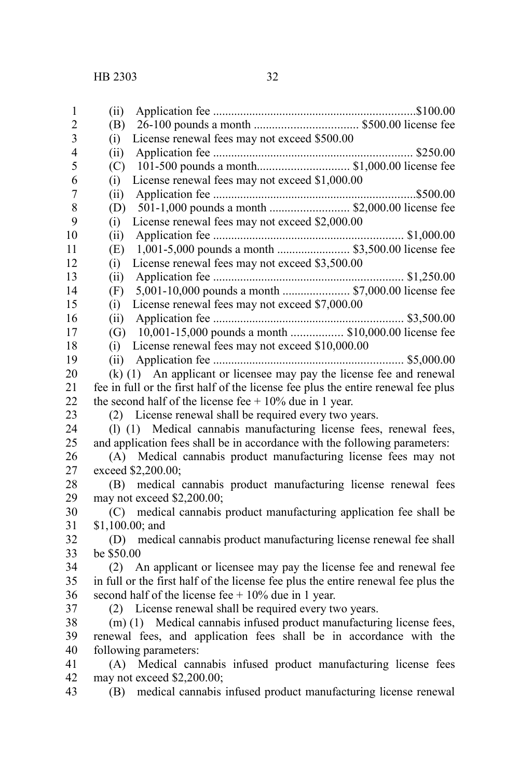| $\mathbf{1}$            | (ii)                                                                              |
|-------------------------|-----------------------------------------------------------------------------------|
| $\overline{2}$          | (B)                                                                               |
| $\overline{\mathbf{3}}$ | License renewal fees may not exceed \$500.00<br>(i)                               |
| $\overline{\mathbf{4}}$ | (ii)                                                                              |
| 5                       | (C)                                                                               |
| 6                       | License renewal fees may not exceed \$1,000.00<br>(i)                             |
| $\boldsymbol{7}$        | (ii)                                                                              |
| 8                       | 501-1,000 pounds a month  \$2,000.00 license fee<br>(D)                           |
| 9                       | License renewal fees may not exceed \$2,000.00<br>(i)                             |
| 10                      | (ii)                                                                              |
| 11                      | 1,001-5,000 pounds a month  \$3,500.00 license fee<br>(E)                         |
| 12                      | License renewal fees may not exceed \$3,500.00<br>(i)                             |
| 13                      | (ii)                                                                              |
| 14                      | 5,001-10,000 pounds a month  \$7,000.00 license fee<br>(F)                        |
| 15                      | License renewal fees may not exceed \$7,000.00<br>(i)                             |
| 16                      | (ii)                                                                              |
| 17                      | (G) 10,001-15,000 pounds a month  \$10,000.00 license fee                         |
| 18                      | License renewal fees may not exceed \$10,000.00<br>(i)                            |
| 19                      | (ii)                                                                              |
| 20                      | (k) (1) An applicant or licensee may pay the license fee and renewal              |
| 21                      | fee in full or the first half of the license fee plus the entire renewal fee plus |
| 22                      | the second half of the license fee $+10\%$ due in 1 year.                         |
| 23                      | (2) License renewal shall be required every two years.                            |
| 24                      | (1) (1) Medical cannabis manufacturing license fees, renewal fees,                |
| 25                      | and application fees shall be in accordance with the following parameters:        |
| 26                      | (A) Medical cannabis product manufacturing license fees may not                   |
| 27                      | exceed \$2,200.00;                                                                |
| 28                      | (B) medical cannabis product manufacturing license renewal fees                   |
| 29                      | may not exceed \$2,200.00;                                                        |
| 30                      | (C) medical cannabis product manufacturing application fee shall be               |
| 31                      | $$1,100.00;$ and                                                                  |
| 32                      | (D) medical cannabis product manufacturing license renewal fee shall              |
| 33                      | be \$50.00                                                                        |
| 34                      | (2) An applicant or licensee may pay the license fee and renewal fee              |
| 35                      | in full or the first half of the license fee plus the entire renewal fee plus the |
| 36                      | second half of the license fee $+10\%$ due in 1 year.                             |
| 37                      | (2) License renewal shall be required every two years.                            |
| 38                      | (m) (1) Medical cannabis infused product manufacturing license fees,              |
| 39                      | renewal fees, and application fees shall be in accordance with the                |
| 40                      | following parameters:                                                             |
| 41                      | (A) Medical cannabis infused product manufacturing license fees                   |
| 42                      | may not exceed \$2,200.00;                                                        |
| 43                      | (B) medical cannabis infused product manufacturing license renewal                |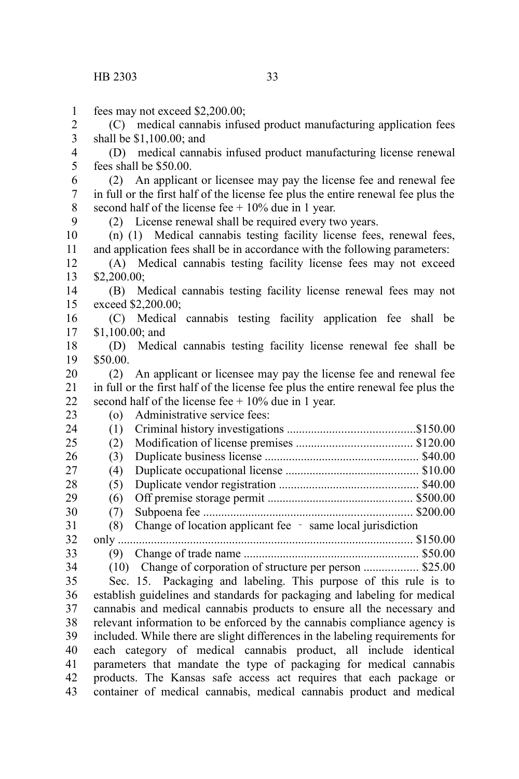fees may not exceed \$2,200.00; (C) medical cannabis infused product manufacturing application fees shall be \$1,100.00; and (D) medical cannabis infused product manufacturing license renewal fees shall be \$50.00. (2) An applicant or licensee may pay the license fee and renewal fee in full or the first half of the license fee plus the entire renewal fee plus the second half of the license fee  $+10\%$  due in 1 year. (2) License renewal shall be required every two years. (n) (1) Medical cannabis testing facility license fees, renewal fees, and application fees shall be in accordance with the following parameters: (A) Medical cannabis testing facility license fees may not exceed \$2,200.00; (B) Medical cannabis testing facility license renewal fees may not exceed \$2,200.00; (C) Medical cannabis testing facility application fee shall be \$1,100.00; and (D) Medical cannabis testing facility license renewal fee shall be \$50.00. (2) An applicant or licensee may pay the license fee and renewal fee in full or the first half of the license fee plus the entire renewal fee plus the second half of the license fee  $+10\%$  due in 1 year. (o) Administrative service fees: (1) Criminal history investigations ..........................................\$150.00 (2) Modification of license premises ...................................... \$120.00 (3) Duplicate business license ................................................... \$40.00 (4) Duplicate occupational license ............................................ \$10.00 (5) Duplicate vendor registration .............................................. \$40.00 (6) Off premise storage permit ................................................ \$500.00 (7) Subpoena fee ..................................................................... \$200.00  $(8)$  Change of location applicant fee - same local jurisdiction only .................................................................................................. \$150.00 (9) Change of trade name .......................................................... \$50.00 (10) Change of corporation of structure per person .................. \$25.00 Sec. 15. Packaging and labeling. This purpose of this rule is to establish guidelines and standards for packaging and labeling for medical cannabis and medical cannabis products to ensure all the necessary and relevant information to be enforced by the cannabis compliance agency is included. While there are slight differences in the labeling requirements for each category of medical cannabis product, all include identical parameters that mandate the type of packaging for medical cannabis products. The Kansas safe access act requires that each package or 1 2 3 4 5 6 7 8  $\mathbf{Q}$ 10 11 12 13 14 15 16 17 18 19 20 21 22 23 24  $25$ 26 27 28 29 30 31 32 33 34 35 36 37 38 39 40 41

container of medical cannabis, medical cannabis product and medical 42 43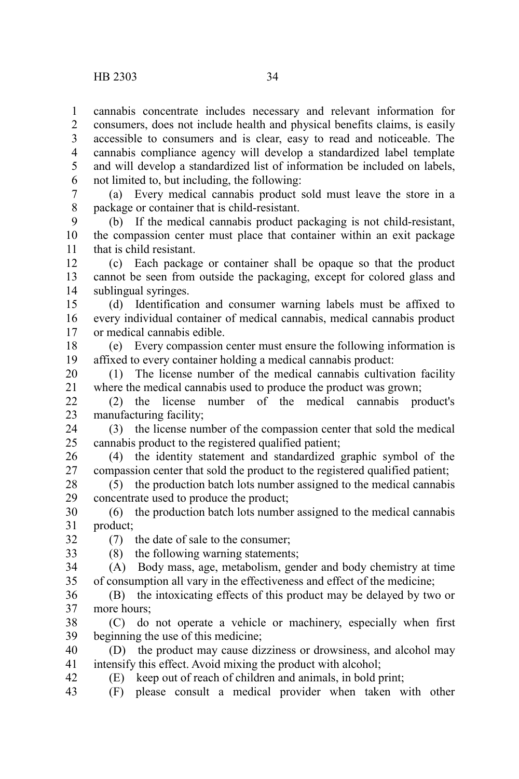cannabis concentrate includes necessary and relevant information for consumers, does not include health and physical benefits claims, is easily accessible to consumers and is clear, easy to read and noticeable. The cannabis compliance agency will develop a standardized label template and will develop a standardized list of information be included on labels, not limited to, but including, the following: 1 2 3 4 5 6

(a) Every medical cannabis product sold must leave the store in a package or container that is child-resistant. 7 8

(b) If the medical cannabis product packaging is not child-resistant, the compassion center must place that container within an exit package that is child resistant. 9 10 11

(c) Each package or container shall be opaque so that the product cannot be seen from outside the packaging, except for colored glass and sublingual syringes. 12 13 14

(d) Identification and consumer warning labels must be affixed to every individual container of medical cannabis, medical cannabis product or medical cannabis edible. 15 16 17

(e) Every compassion center must ensure the following information is affixed to every container holding a medical cannabis product: 18 19

(1) The license number of the medical cannabis cultivation facility where the medical cannabis used to produce the product was grown; 20 21

(2) the license number of the medical cannabis product's manufacturing facility;  $22$ 23

(3) the license number of the compassion center that sold the medical cannabis product to the registered qualified patient; 24 25

(4) the identity statement and standardized graphic symbol of the compassion center that sold the product to the registered qualified patient; 26 27

(5) the production batch lots number assigned to the medical cannabis concentrate used to produce the product; 28 29

(6) the production batch lots number assigned to the medical cannabis product; 30 31

(7) the date of sale to the consumer; 32

33

(8) the following warning statements; (A) Body mass, age, metabolism, gender and body chemistry at time 34

of consumption all vary in the effectiveness and effect of the medicine; 35

(B) the intoxicating effects of this product may be delayed by two or more hours; 36 37

(C) do not operate a vehicle or machinery, especially when first beginning the use of this medicine; 38 39

(D) the product may cause dizziness or drowsiness, and alcohol may intensify this effect. Avoid mixing the product with alcohol; 40 41

(E) keep out of reach of children and animals, in bold print; 42

(F) please consult a medical provider when taken with other 43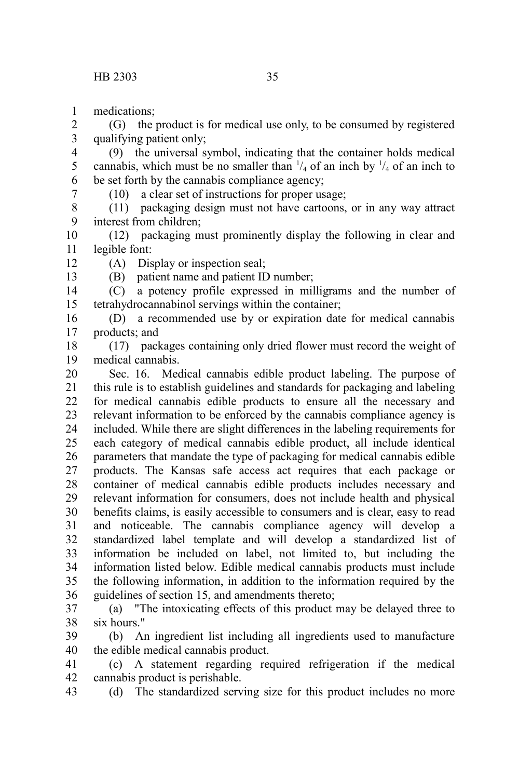medications; 1

12 13

(G) the product is for medical use only, to be consumed by registered qualifying patient only; 2 3

(9) the universal symbol, indicating that the container holds medical cannabis, which must be no smaller than  $\frac{1}{4}$  of an inch by  $\frac{1}{4}$  of an inch to be set forth by the cannabis compliance agency; 4 5 6 7

(10) a clear set of instructions for proper usage;

(11) packaging design must not have cartoons, or in any way attract interest from children; 8 9

(12) packaging must prominently display the following in clear and legible font: 10 11

(A) Display or inspection seal;

(B) patient name and patient ID number;

(C) a potency profile expressed in milligrams and the number of tetrahydrocannabinol servings within the container; 14 15

(D) a recommended use by or expiration date for medical cannabis products; and 16 17

(17) packages containing only dried flower must record the weight of medical cannabis. 18 19

Sec. 16. Medical cannabis edible product labeling. The purpose of this rule is to establish guidelines and standards for packaging and labeling for medical cannabis edible products to ensure all the necessary and relevant information to be enforced by the cannabis compliance agency is included. While there are slight differences in the labeling requirements for each category of medical cannabis edible product, all include identical parameters that mandate the type of packaging for medical cannabis edible products. The Kansas safe access act requires that each package or container of medical cannabis edible products includes necessary and relevant information for consumers, does not include health and physical benefits claims, is easily accessible to consumers and is clear, easy to read and noticeable. The cannabis compliance agency will develop a standardized label template and will develop a standardized list of information be included on label, not limited to, but including the information listed below. Edible medical cannabis products must include the following information, in addition to the information required by the guidelines of section 15, and amendments thereto; 20 21 22 23 24 25 26 27 28 29 30 31 32 33 34 35 36

(a) "The intoxicating effects of this product may be delayed three to six hours." 37 38

(b) An ingredient list including all ingredients used to manufacture the edible medical cannabis product. 39 40

(c) A statement regarding required refrigeration if the medical cannabis product is perishable. 41 42

(d) The standardized serving size for this product includes no more 43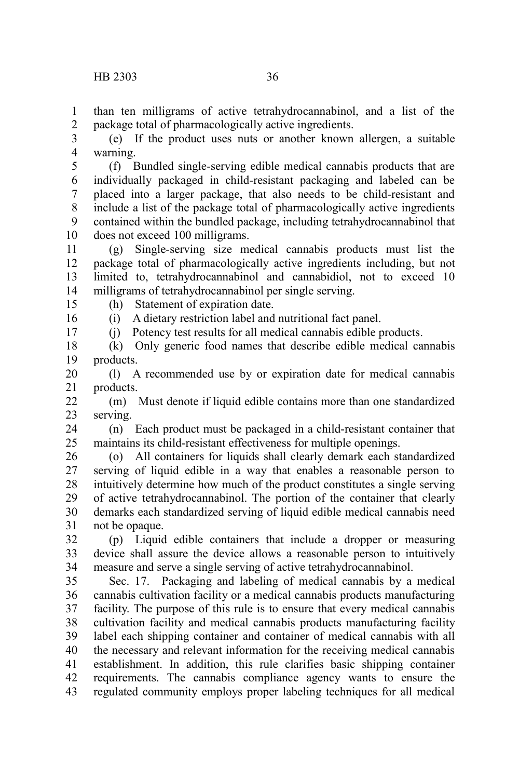than ten milligrams of active tetrahydrocannabinol, and a list of the package total of pharmacologically active ingredients. 1 2

(e) If the product uses nuts or another known allergen, a suitable warning. 3 4

(f) Bundled single-serving edible medical cannabis products that are individually packaged in child-resistant packaging and labeled can be placed into a larger package, that also needs to be child-resistant and include a list of the package total of pharmacologically active ingredients contained within the bundled package, including tetrahydrocannabinol that does not exceed 100 milligrams. 5 6 7 8 9 10

(g) Single-serving size medical cannabis products must list the package total of pharmacologically active ingredients including, but not limited to, tetrahydrocannabinol and cannabidiol, not to exceed 10 milligrams of tetrahydrocannabinol per single serving. 11 12 13 14

15 16

17

(h) Statement of expiration date.

(i) A dietary restriction label and nutritional fact panel.

(j) Potency test results for all medical cannabis edible products.

(k) Only generic food names that describe edible medical cannabis products. 18 19

(l) A recommended use by or expiration date for medical cannabis products. 20 21

(m) Must denote if liquid edible contains more than one standardized serving.  $22$ 23

(n) Each product must be packaged in a child-resistant container that maintains its child-resistant effectiveness for multiple openings. 24 25

(o) All containers for liquids shall clearly demark each standardized serving of liquid edible in a way that enables a reasonable person to intuitively determine how much of the product constitutes a single serving of active tetrahydrocannabinol. The portion of the container that clearly demarks each standardized serving of liquid edible medical cannabis need not be opaque. 26 27 28 29 30 31

(p) Liquid edible containers that include a dropper or measuring device shall assure the device allows a reasonable person to intuitively measure and serve a single serving of active tetrahydrocannabinol. 32 33 34

Sec. 17. Packaging and labeling of medical cannabis by a medical cannabis cultivation facility or a medical cannabis products manufacturing facility. The purpose of this rule is to ensure that every medical cannabis cultivation facility and medical cannabis products manufacturing facility label each shipping container and container of medical cannabis with all the necessary and relevant information for the receiving medical cannabis establishment. In addition, this rule clarifies basic shipping container requirements. The cannabis compliance agency wants to ensure the regulated community employs proper labeling techniques for all medical 35 36 37 38 39 40 41 42 43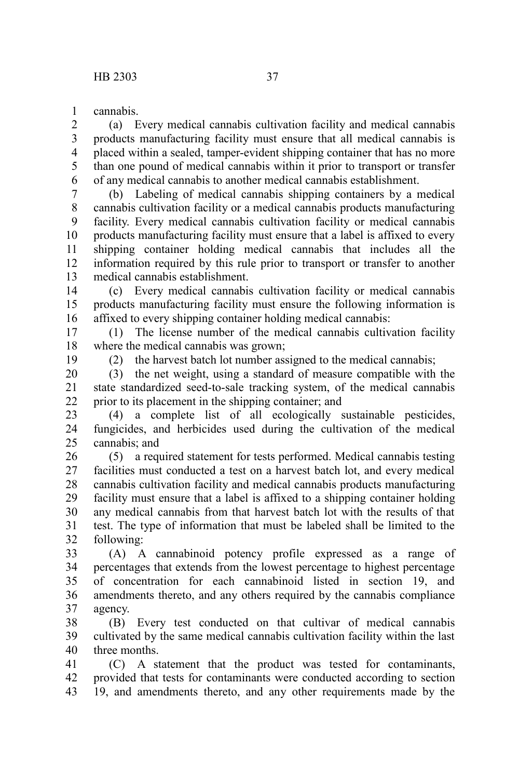cannabis. 1

(a) Every medical cannabis cultivation facility and medical cannabis products manufacturing facility must ensure that all medical cannabis is placed within a sealed, tamper-evident shipping container that has no more than one pound of medical cannabis within it prior to transport or transfer of any medical cannabis to another medical cannabis establishment. 2 3 4 5 6

(b) Labeling of medical cannabis shipping containers by a medical cannabis cultivation facility or a medical cannabis products manufacturing facility. Every medical cannabis cultivation facility or medical cannabis products manufacturing facility must ensure that a label is affixed to every shipping container holding medical cannabis that includes all the information required by this rule prior to transport or transfer to another medical cannabis establishment. 7 8 9 10 11 12 13

(c) Every medical cannabis cultivation facility or medical cannabis products manufacturing facility must ensure the following information is affixed to every shipping container holding medical cannabis: 14 15 16

(1) The license number of the medical cannabis cultivation facility where the medical cannabis was grown; 17 18

19

(2) the harvest batch lot number assigned to the medical cannabis;

(3) the net weight, using a standard of measure compatible with the state standardized seed-to-sale tracking system, of the medical cannabis prior to its placement in the shipping container; and 20 21 22

(4) a complete list of all ecologically sustainable pesticides, fungicides, and herbicides used during the cultivation of the medical cannabis; and 23 24 25

(5) a required statement for tests performed. Medical cannabis testing facilities must conducted a test on a harvest batch lot, and every medical cannabis cultivation facility and medical cannabis products manufacturing facility must ensure that a label is affixed to a shipping container holding any medical cannabis from that harvest batch lot with the results of that test. The type of information that must be labeled shall be limited to the following: 26 27 28 29 30 31 32

(A) A cannabinoid potency profile expressed as a range of percentages that extends from the lowest percentage to highest percentage of concentration for each cannabinoid listed in section 19, and amendments thereto, and any others required by the cannabis compliance agency. 33 34 35 36 37

(B) Every test conducted on that cultivar of medical cannabis cultivated by the same medical cannabis cultivation facility within the last three months. 38 39 40

(C) A statement that the product was tested for contaminants, provided that tests for contaminants were conducted according to section 19, and amendments thereto, and any other requirements made by the 41 42 43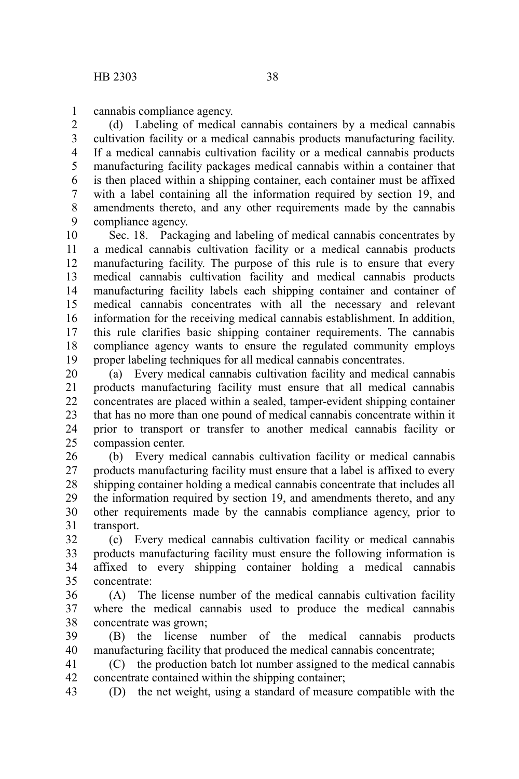cannabis compliance agency. 1

(d) Labeling of medical cannabis containers by a medical cannabis cultivation facility or a medical cannabis products manufacturing facility. If a medical cannabis cultivation facility or a medical cannabis products manufacturing facility packages medical cannabis within a container that is then placed within a shipping container, each container must be affixed with a label containing all the information required by section 19, and amendments thereto, and any other requirements made by the cannabis compliance agency. 2 3 4 5 6 7 8 9

Sec. 18. Packaging and labeling of medical cannabis concentrates by a medical cannabis cultivation facility or a medical cannabis products manufacturing facility. The purpose of this rule is to ensure that every medical cannabis cultivation facility and medical cannabis products manufacturing facility labels each shipping container and container of medical cannabis concentrates with all the necessary and relevant information for the receiving medical cannabis establishment. In addition, this rule clarifies basic shipping container requirements. The cannabis compliance agency wants to ensure the regulated community employs proper labeling techniques for all medical cannabis concentrates. 10 11 12 13 14 15 16 17 18 19

(a) Every medical cannabis cultivation facility and medical cannabis products manufacturing facility must ensure that all medical cannabis concentrates are placed within a sealed, tamper-evident shipping container that has no more than one pound of medical cannabis concentrate within it prior to transport or transfer to another medical cannabis facility or compassion center. 20 21 22 23 24 25

(b) Every medical cannabis cultivation facility or medical cannabis products manufacturing facility must ensure that a label is affixed to every shipping container holding a medical cannabis concentrate that includes all the information required by section 19, and amendments thereto, and any other requirements made by the cannabis compliance agency, prior to transport. 26 27 28 29 30 31

(c) Every medical cannabis cultivation facility or medical cannabis products manufacturing facility must ensure the following information is affixed to every shipping container holding a medical cannabis concentrate: 32 33 34 35

(A) The license number of the medical cannabis cultivation facility where the medical cannabis used to produce the medical cannabis concentrate was grown; 36 37 38

(B) the license number of the medical cannabis products manufacturing facility that produced the medical cannabis concentrate; 39 40

(C) the production batch lot number assigned to the medical cannabis concentrate contained within the shipping container; 41 42

(D) the net weight, using a standard of measure compatible with the 43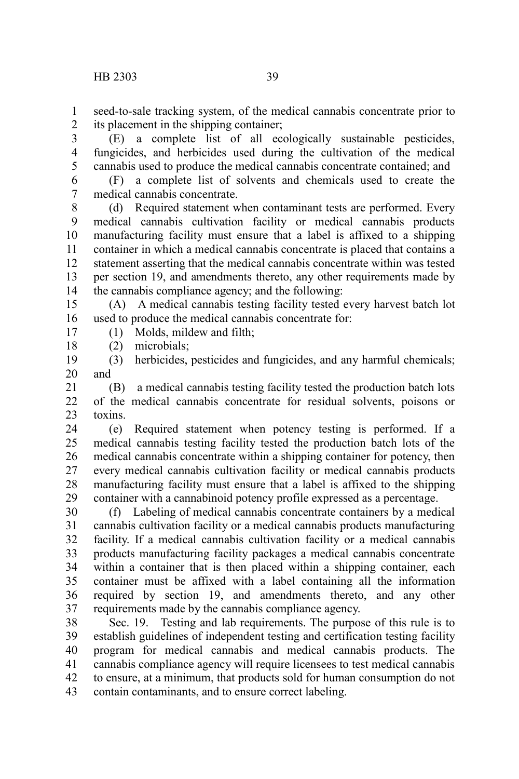seed-to-sale tracking system, of the medical cannabis concentrate prior to its placement in the shipping container; 1 2

(E) a complete list of all ecologically sustainable pesticides, fungicides, and herbicides used during the cultivation of the medical cannabis used to produce the medical cannabis concentrate contained; and 3 4 5

(F) a complete list of solvents and chemicals used to create the medical cannabis concentrate. 6 7

(d) Required statement when contaminant tests are performed. Every medical cannabis cultivation facility or medical cannabis products manufacturing facility must ensure that a label is affixed to a shipping container in which a medical cannabis concentrate is placed that contains a statement asserting that the medical cannabis concentrate within was tested per section 19, and amendments thereto, any other requirements made by the cannabis compliance agency; and the following: 8 9 10 11 12 13 14

(A) A medical cannabis testing facility tested every harvest batch lot used to produce the medical cannabis concentrate for: 15 16

(1) Molds, mildew and filth;

(2) microbials; 18

17

(3) herbicides, pesticides and fungicides, and any harmful chemicals; and 19 20

(B) a medical cannabis testing facility tested the production batch lots of the medical cannabis concentrate for residual solvents, poisons or toxins. 21 22 23

(e) Required statement when potency testing is performed. If a medical cannabis testing facility tested the production batch lots of the medical cannabis concentrate within a shipping container for potency, then every medical cannabis cultivation facility or medical cannabis products manufacturing facility must ensure that a label is affixed to the shipping container with a cannabinoid potency profile expressed as a percentage. 24 25 26 27 28 29

(f) Labeling of medical cannabis concentrate containers by a medical cannabis cultivation facility or a medical cannabis products manufacturing facility. If a medical cannabis cultivation facility or a medical cannabis products manufacturing facility packages a medical cannabis concentrate within a container that is then placed within a shipping container, each container must be affixed with a label containing all the information required by section 19, and amendments thereto, and any other requirements made by the cannabis compliance agency. 30 31 32 33 34 35 36 37

Sec. 19. Testing and lab requirements. The purpose of this rule is to establish guidelines of independent testing and certification testing facility program for medical cannabis and medical cannabis products. The cannabis compliance agency will require licensees to test medical cannabis to ensure, at a minimum, that products sold for human consumption do not contain contaminants, and to ensure correct labeling. 38 39 40 41 42 43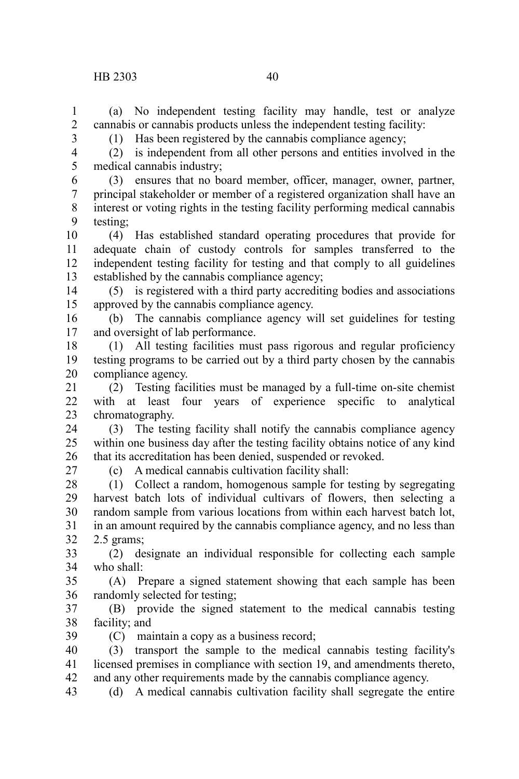(a) No independent testing facility may handle, test or analyze cannabis or cannabis products unless the independent testing facility: 1 2

(1) Has been registered by the cannabis compliance agency;

3 4 5

(2) is independent from all other persons and entities involved in the medical cannabis industry;

(3) ensures that no board member, officer, manager, owner, partner, principal stakeholder or member of a registered organization shall have an interest or voting rights in the testing facility performing medical cannabis testing; 6 7 8 9

(4) Has established standard operating procedures that provide for adequate chain of custody controls for samples transferred to the independent testing facility for testing and that comply to all guidelines established by the cannabis compliance agency; 10 11 12 13

(5) is registered with a third party accrediting bodies and associations approved by the cannabis compliance agency. 14 15

(b) The cannabis compliance agency will set guidelines for testing and oversight of lab performance. 16 17

(1) All testing facilities must pass rigorous and regular proficiency testing programs to be carried out by a third party chosen by the cannabis compliance agency. 18 19 20

(2) Testing facilities must be managed by a full-time on-site chemist with at least four years of experience specific to analytical chromatography. 21 22 23

(3) The testing facility shall notify the cannabis compliance agency within one business day after the testing facility obtains notice of any kind that its accreditation has been denied, suspended or revoked. 24 25 26

27

(c) A medical cannabis cultivation facility shall:

(1) Collect a random, homogenous sample for testing by segregating harvest batch lots of individual cultivars of flowers, then selecting a random sample from various locations from within each harvest batch lot, in an amount required by the cannabis compliance agency, and no less than 2.5 grams; 28 29 30 31 32

(2) designate an individual responsible for collecting each sample who shall: 33 34

(A) Prepare a signed statement showing that each sample has been randomly selected for testing; 35 36

(B) provide the signed statement to the medical cannabis testing facility; and 37 38

(C) maintain a copy as a business record; 39

(3) transport the sample to the medical cannabis testing facility's licensed premises in compliance with section 19, and amendments thereto, and any other requirements made by the cannabis compliance agency. 40 41 42

(d) A medical cannabis cultivation facility shall segregate the entire 43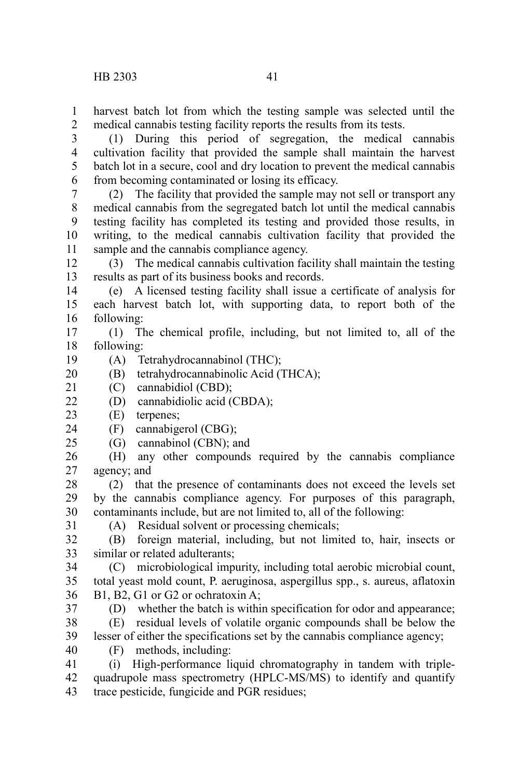harvest batch lot from which the testing sample was selected until the medical cannabis testing facility reports the results from its tests. 1 2

(1) During this period of segregation, the medical cannabis cultivation facility that provided the sample shall maintain the harvest batch lot in a secure, cool and dry location to prevent the medical cannabis from becoming contaminated or losing its efficacy. 3 4 5 6

(2) The facility that provided the sample may not sell or transport any medical cannabis from the segregated batch lot until the medical cannabis testing facility has completed its testing and provided those results, in writing, to the medical cannabis cultivation facility that provided the sample and the cannabis compliance agency. 7 8 9 10 11

(3) The medical cannabis cultivation facility shall maintain the testing results as part of its business books and records. 12 13

(e) A licensed testing facility shall issue a certificate of analysis for each harvest batch lot, with supporting data, to report both of the following: 14 15 16

(1) The chemical profile, including, but not limited to, all of the following: 17 18

(A) Tetrahydrocannabinol (THC); 19

(B) tetrahydrocannabinolic Acid (THCA); 20

(C) cannabidiol (CBD); 21

(D) cannabidiolic acid (CBDA);  $22$ 

- (E) terpenes; 23
- (F) cannabigerol (CBG); 24

(G) cannabinol (CBN); and 25

(H) any other compounds required by the cannabis compliance agency; and 26 27

(2) that the presence of contaminants does not exceed the levels set by the cannabis compliance agency. For purposes of this paragraph, contaminants include, but are not limited to, all of the following: 28 29 30

31

37

(A) Residual solvent or processing chemicals;

(B) foreign material, including, but not limited to, hair, insects or similar or related adulterants; 32 33

(C) microbiological impurity, including total aerobic microbial count, total yeast mold count, P. aeruginosa, aspergillus spp., s. aureus, aflatoxin B1, B2, G1 or G2 or ochratoxin A; 34 35 36

(D) whether the batch is within specification for odor and appearance;

(E) residual levels of volatile organic compounds shall be below the lesser of either the specifications set by the cannabis compliance agency; 38 39

- 40
	- (F) methods, including:

(i) High-performance liquid chromatography in tandem with triplequadrupole mass spectrometry (HPLC-MS/MS) to identify and quantify trace pesticide, fungicide and PGR residues; 41 42 43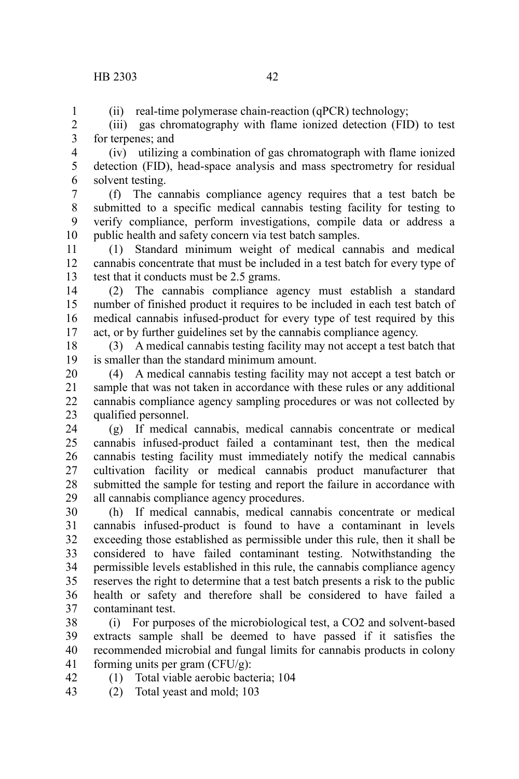## HB 2303 42

1

(ii) real-time polymerase chain-reaction (qPCR) technology;

(iii) gas chromatography with flame ionized detection (FID) to test for terpenes; and 2 3

(iv) utilizing a combination of gas chromatograph with flame ionized detection (FID), head-space analysis and mass spectrometry for residual solvent testing. 4 5 6

(f) The cannabis compliance agency requires that a test batch be submitted to a specific medical cannabis testing facility for testing to verify compliance, perform investigations, compile data or address a public health and safety concern via test batch samples. 7 8 9 10

(1) Standard minimum weight of medical cannabis and medical cannabis concentrate that must be included in a test batch for every type of test that it conducts must be 2.5 grams. 11 12 13

(2) The cannabis compliance agency must establish a standard number of finished product it requires to be included in each test batch of medical cannabis infused-product for every type of test required by this act, or by further guidelines set by the cannabis compliance agency. 14 15 16 17

(3) A medical cannabis testing facility may not accept a test batch that is smaller than the standard minimum amount. 18 19

(4) A medical cannabis testing facility may not accept a test batch or sample that was not taken in accordance with these rules or any additional cannabis compliance agency sampling procedures or was not collected by qualified personnel. 20 21 22 23

(g) If medical cannabis, medical cannabis concentrate or medical cannabis infused-product failed a contaminant test, then the medical cannabis testing facility must immediately notify the medical cannabis cultivation facility or medical cannabis product manufacturer that submitted the sample for testing and report the failure in accordance with all cannabis compliance agency procedures. 24  $25$ 26 27 28 29

(h) If medical cannabis, medical cannabis concentrate or medical cannabis infused-product is found to have a contaminant in levels exceeding those established as permissible under this rule, then it shall be considered to have failed contaminant testing. Notwithstanding the permissible levels established in this rule, the cannabis compliance agency reserves the right to determine that a test batch presents a risk to the public health or safety and therefore shall be considered to have failed a contaminant test. 30 31 32 33 34 35 36 37

(i) For purposes of the microbiological test, a CO2 and solvent-based extracts sample shall be deemed to have passed if it satisfies the recommended microbial and fungal limits for cannabis products in colony forming units per gram (CFU/g): 38 39 40 41

(1) Total viable aerobic bacteria; 104 42

(2) Total yeast and mold; 103 43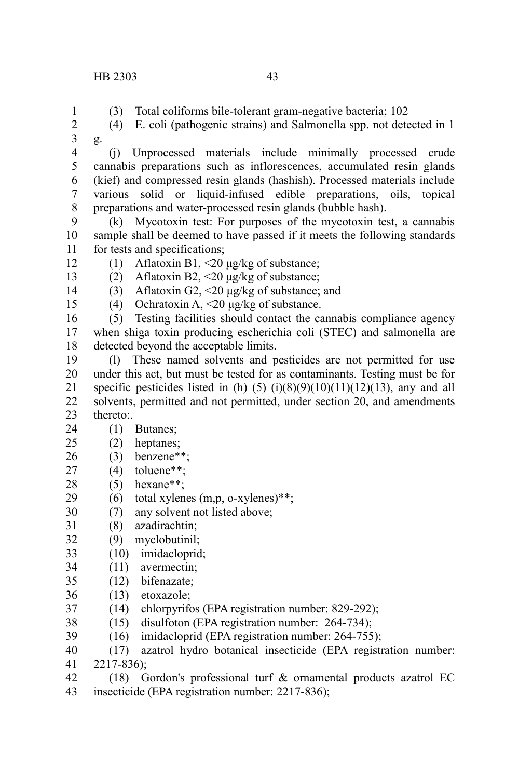1

- (3) Total coliforms bile-tolerant gram-negative bacteria; 102
- (4) E. coli (pathogenic strains) and Salmonella spp. not detected in 1 g. 2 3
- (j) Unprocessed materials include minimally processed crude cannabis preparations such as inflorescences, accumulated resin glands (kief) and compressed resin glands (hashish). Processed materials include various solid or liquid-infused edible preparations, oils, topical preparations and water-processed resin glands (bubble hash). 4 5 6 7 8
- (k) Mycotoxin test: For purposes of the mycotoxin test, a cannabis sample shall be deemed to have passed if it meets the following standards for tests and specifications; 9 10 11
- (1) Aflatoxin B1, <20 μg/kg of substance; 12
- (2) Aflatoxin B2,  $\leq$  20 μg/kg of substance; 13
- (3) Aflatoxin G2, <20 μg/kg of substance; and 14
- (4) Ochratoxin A,  $\leq$  20 μg/kg of substance. 15
- (5) Testing facilities should contact the cannabis compliance agency when shiga toxin producing escherichia coli (STEC) and salmonella are detected beyond the acceptable limits. 16 17 18
- (l) These named solvents and pesticides are not permitted for use under this act, but must be tested for as contaminants. Testing must be for specific pesticides listed in (h)  $(5)$   $(i)(8)(9)(10)(11)(12)(13)$ , any and all solvents, permitted and not permitted, under section 20, and amendments thereto:. 19 20 21 22 23
- (1) Butanes; 24
- (2) heptanes; 25
- (3) benzene\*\*; 26
- (4) toluene\*\*; 27
- $(5)$  hexane\*\*; 28
- (6) total xylenes  $(m, p, o\text{-xylenes})$ \*\*; 29
- (7) any solvent not listed above; 30
- (8) azadirachtin; 31
- (9) myclobutinil; 32
- (10) imidacloprid; 33
- (11) avermectin; 34
- (12) bifenazate; 35
- (13) etoxazole; 36
- (14) chlorpyrifos (EPA registration number: 829-292); 37
- (15) disulfoton (EPA registration number: 264-734); 38
- (16) imidacloprid (EPA registration number: 264-755); 39
- (17) azatrol hydro botanical insecticide (EPA registration number: 2217-836); 40 41
- (18) Gordon's professional turf & ornamental products azatrol EC insecticide (EPA registration number: 2217-836); 42 43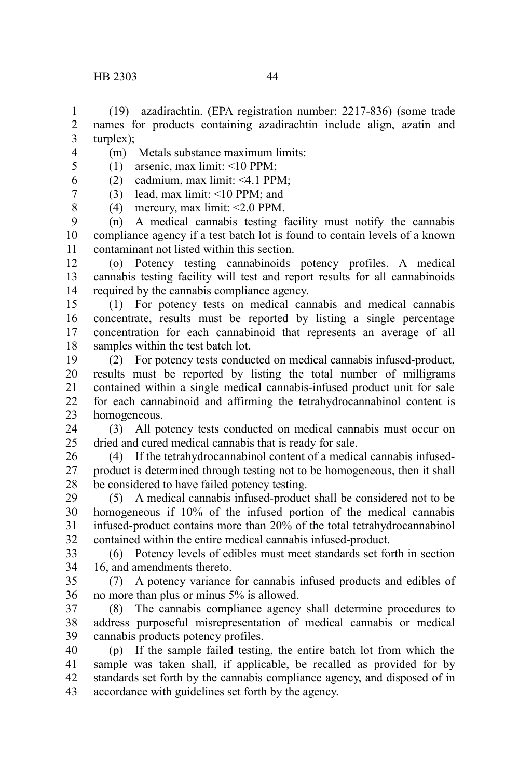turplex); 3 4

1 2

8

- (m) Metals substance maximum limits:
- (1) arsenic, max limit: <10 PPM; 5
- (2) cadmium, max limit: <4.1 PPM; 6
- (3) lead, max limit: <10 PPM; and 7
	- (4) mercury, max limit: <2.0 PPM.

(n) A medical cannabis testing facility must notify the cannabis compliance agency if a test batch lot is found to contain levels of a known contaminant not listed within this section. 9 10 11

(o) Potency testing cannabinoids potency profiles. A medical cannabis testing facility will test and report results for all cannabinoids required by the cannabis compliance agency. 12 13 14

(1) For potency tests on medical cannabis and medical cannabis concentrate, results must be reported by listing a single percentage concentration for each cannabinoid that represents an average of all samples within the test batch lot. 15 16 17 18

(2) For potency tests conducted on medical cannabis infused-product, results must be reported by listing the total number of milligrams contained within a single medical cannabis-infused product unit for sale for each cannabinoid and affirming the tetrahydrocannabinol content is homogeneous. 19 20 21 22 23

(3) All potency tests conducted on medical cannabis must occur on dried and cured medical cannabis that is ready for sale. 24  $25$ 

(4) If the tetrahydrocannabinol content of a medical cannabis infusedproduct is determined through testing not to be homogeneous, then it shall be considered to have failed potency testing. 26 27 28

(5) A medical cannabis infused-product shall be considered not to be homogeneous if 10% of the infused portion of the medical cannabis infused-product contains more than 20% of the total tetrahydrocannabinol contained within the entire medical cannabis infused-product. 29 30 31 32

(6) Potency levels of edibles must meet standards set forth in section 16, and amendments thereto. 33 34

(7) A potency variance for cannabis infused products and edibles of no more than plus or minus 5% is allowed. 35 36

(8) The cannabis compliance agency shall determine procedures to address purposeful misrepresentation of medical cannabis or medical cannabis products potency profiles. 37 38 39

(p) If the sample failed testing, the entire batch lot from which the sample was taken shall, if applicable, be recalled as provided for by standards set forth by the cannabis compliance agency, and disposed of in accordance with guidelines set forth by the agency. 40 41 42 43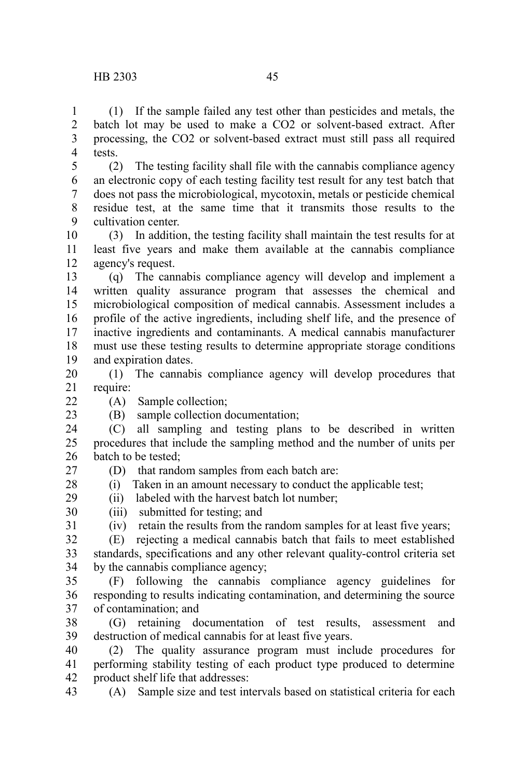(1) If the sample failed any test other than pesticides and metals, the batch lot may be used to make a CO2 or solvent-based extract. After processing, the CO2 or solvent-based extract must still pass all required tests. 1 2 3 4

(2) The testing facility shall file with the cannabis compliance agency an electronic copy of each testing facility test result for any test batch that does not pass the microbiological, mycotoxin, metals or pesticide chemical residue test, at the same time that it transmits those results to the cultivation center. 5 6 7 8  $\mathbf{Q}$ 

(3) In addition, the testing facility shall maintain the test results for at least five years and make them available at the cannabis compliance agency's request. 10 11 12

(q) The cannabis compliance agency will develop and implement a written quality assurance program that assesses the chemical and microbiological composition of medical cannabis. Assessment includes a profile of the active ingredients, including shelf life, and the presence of inactive ingredients and contaminants. A medical cannabis manufacturer must use these testing results to determine appropriate storage conditions and expiration dates. 13 14 15 16 17 18 19

(1) The cannabis compliance agency will develop procedures that require: 20 21

(A) Sample collection;

 $22$ 23

(B) sample collection documentation;

(iii) submitted for testing; and

(D) that random samples from each batch are:

(ii) labeled with the harvest batch lot number;

(C) all sampling and testing plans to be described in written procedures that include the sampling method and the number of units per batch to be tested; 24 25 26

27

28

29

30 31

(iv) retain the results from the random samples for at least five years;

(i) Taken in an amount necessary to conduct the applicable test;

(E) rejecting a medical cannabis batch that fails to meet established standards, specifications and any other relevant quality-control criteria set by the cannabis compliance agency; 32 33 34

(F) following the cannabis compliance agency guidelines for responding to results indicating contamination, and determining the source of contamination; and 35 36 37

(G) retaining documentation of test results, assessment and destruction of medical cannabis for at least five years. 38 39

(2) The quality assurance program must include procedures for performing stability testing of each product type produced to determine product shelf life that addresses: 40 41 42

(A) Sample size and test intervals based on statistical criteria for each 43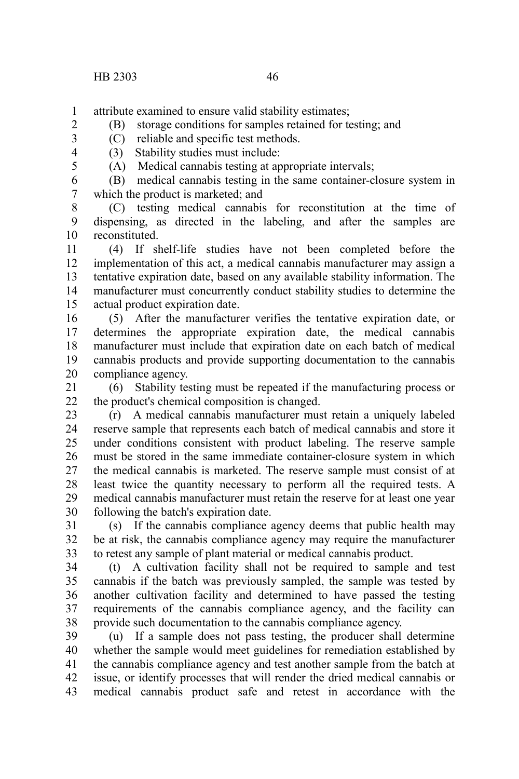- attribute examined to ensure valid stability estimates; 1
	- (B) storage conditions for samples retained for testing; and
	- (C) reliable and specific test methods.
	- (3) Stability studies must include:
		- (A) Medical cannabis testing at appropriate intervals;
- (B) medical cannabis testing in the same container-closure system in which the product is marketed; and 6 7

(C) testing medical cannabis for reconstitution at the time of dispensing, as directed in the labeling, and after the samples are reconstituted. 8 9 10

(4) If shelf-life studies have not been completed before the implementation of this act, a medical cannabis manufacturer may assign a tentative expiration date, based on any available stability information. The manufacturer must concurrently conduct stability studies to determine the actual product expiration date. 11 12 13 14 15

(5) After the manufacturer verifies the tentative expiration date, or determines the appropriate expiration date, the medical cannabis manufacturer must include that expiration date on each batch of medical cannabis products and provide supporting documentation to the cannabis compliance agency. 16 17 18 19 20

(6) Stability testing must be repeated if the manufacturing process or the product's chemical composition is changed. 21  $22$ 

(r) A medical cannabis manufacturer must retain a uniquely labeled reserve sample that represents each batch of medical cannabis and store it under conditions consistent with product labeling. The reserve sample must be stored in the same immediate container-closure system in which the medical cannabis is marketed. The reserve sample must consist of at least twice the quantity necessary to perform all the required tests. A medical cannabis manufacturer must retain the reserve for at least one year following the batch's expiration date. 23 24 25 26 27 28 29 30

(s) If the cannabis compliance agency deems that public health may be at risk, the cannabis compliance agency may require the manufacturer to retest any sample of plant material or medical cannabis product. 31 32 33

(t) A cultivation facility shall not be required to sample and test cannabis if the batch was previously sampled, the sample was tested by another cultivation facility and determined to have passed the testing requirements of the cannabis compliance agency, and the facility can provide such documentation to the cannabis compliance agency. 34 35 36 37 38

(u) If a sample does not pass testing, the producer shall determine whether the sample would meet guidelines for remediation established by the cannabis compliance agency and test another sample from the batch at issue, or identify processes that will render the dried medical cannabis or medical cannabis product safe and retest in accordance with the 39 40 41 42 43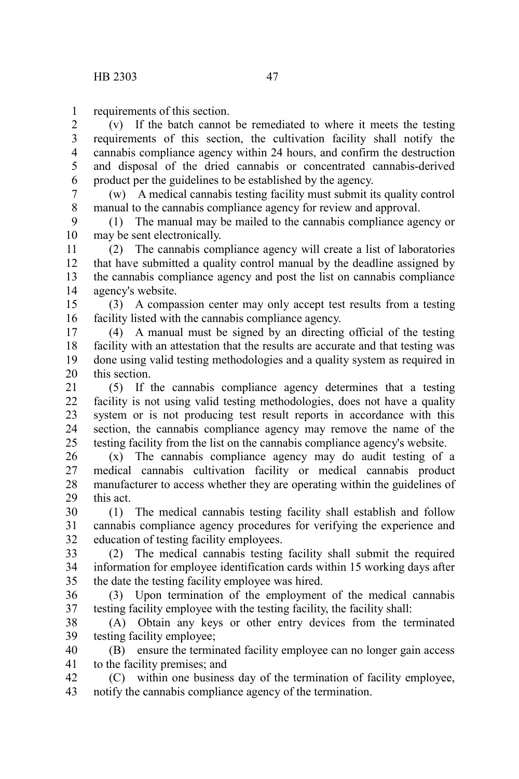requirements of this section. 1

(v) If the batch cannot be remediated to where it meets the testing requirements of this section, the cultivation facility shall notify the cannabis compliance agency within 24 hours, and confirm the destruction and disposal of the dried cannabis or concentrated cannabis-derived product per the guidelines to be established by the agency. 2 3 4 5 6

(w) A medical cannabis testing facility must submit its quality control manual to the cannabis compliance agency for review and approval. 7 8

(1) The manual may be mailed to the cannabis compliance agency or may be sent electronically. 9 10

(2) The cannabis compliance agency will create a list of laboratories that have submitted a quality control manual by the deadline assigned by the cannabis compliance agency and post the list on cannabis compliance agency's website. 11 12 13 14

(3) A compassion center may only accept test results from a testing facility listed with the cannabis compliance agency. 15 16

(4) A manual must be signed by an directing official of the testing facility with an attestation that the results are accurate and that testing was done using valid testing methodologies and a quality system as required in this section. 17 18 19 20

(5) If the cannabis compliance agency determines that a testing facility is not using valid testing methodologies, does not have a quality system or is not producing test result reports in accordance with this section, the cannabis compliance agency may remove the name of the testing facility from the list on the cannabis compliance agency's website. 21 22 23 24 25

(x) The cannabis compliance agency may do audit testing of a medical cannabis cultivation facility or medical cannabis product manufacturer to access whether they are operating within the guidelines of this act. 26 27 28 29

(1) The medical cannabis testing facility shall establish and follow cannabis compliance agency procedures for verifying the experience and education of testing facility employees. 30 31 32

(2) The medical cannabis testing facility shall submit the required information for employee identification cards within 15 working days after the date the testing facility employee was hired. 33 34 35

(3) Upon termination of the employment of the medical cannabis testing facility employee with the testing facility, the facility shall: 36 37

(A) Obtain any keys or other entry devices from the terminated testing facility employee; 38 39

(B) ensure the terminated facility employee can no longer gain access to the facility premises; and 40 41

(C) within one business day of the termination of facility employee, notify the cannabis compliance agency of the termination. 42 43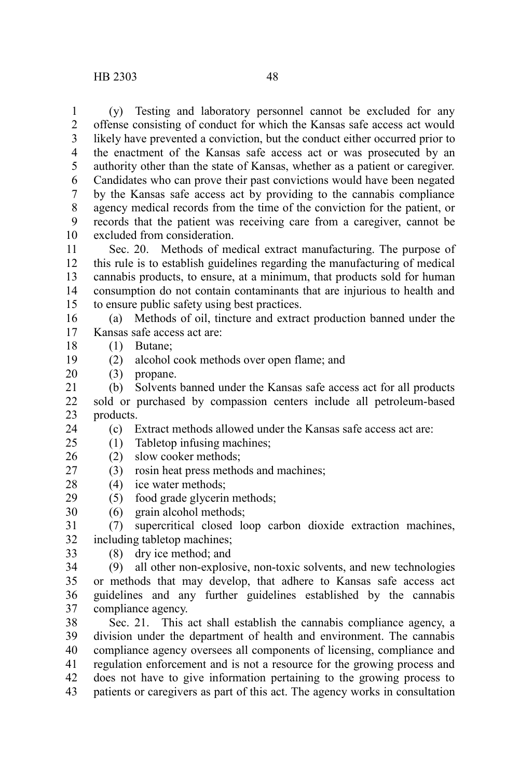(y) Testing and laboratory personnel cannot be excluded for any offense consisting of conduct for which the Kansas safe access act would likely have prevented a conviction, but the conduct either occurred prior to the enactment of the Kansas safe access act or was prosecuted by an authority other than the state of Kansas, whether as a patient or caregiver. Candidates who can prove their past convictions would have been negated by the Kansas safe access act by providing to the cannabis compliance agency medical records from the time of the conviction for the patient, or records that the patient was receiving care from a caregiver, cannot be excluded from consideration. 1 2 3 4 5 6 7 8 9 10

Sec. 20. Methods of medical extract manufacturing. The purpose of this rule is to establish guidelines regarding the manufacturing of medical cannabis products, to ensure, at a minimum, that products sold for human consumption do not contain contaminants that are injurious to health and to ensure public safety using best practices. 11 12 13 14 15

(a) Methods of oil, tincture and extract production banned under the Kansas safe access act are: 16 17

- (1) Butane; 18
- (2) alcohol cook methods over open flame; and 19
- (3) propane. 20

24

- (b) Solvents banned under the Kansas safe access act for all products sold or purchased by compassion centers include all petroleum-based products. 21 22 23
	- (c) Extract methods allowed under the Kansas safe access act are:
- (1) Tabletop infusing machines;  $25$
- (2) slow cooker methods; 26
- (3) rosin heat press methods and machines; 27
- $(4)$  ice water methods; 28
- (5) food grade glycerin methods; 29
- (6) grain alcohol methods; 30
- (7) supercritical closed loop carbon dioxide extraction machines, including tabletop machines; 31 32
- (8) dry ice method; and 33

(9) all other non-explosive, non-toxic solvents, and new technologies or methods that may develop, that adhere to Kansas safe access act guidelines and any further guidelines established by the cannabis compliance agency. 34 35 36 37

Sec. 21. This act shall establish the cannabis compliance agency, a division under the department of health and environment. The cannabis compliance agency oversees all components of licensing, compliance and regulation enforcement and is not a resource for the growing process and does not have to give information pertaining to the growing process to patients or caregivers as part of this act. The agency works in consultation 38 39 40 41 42 43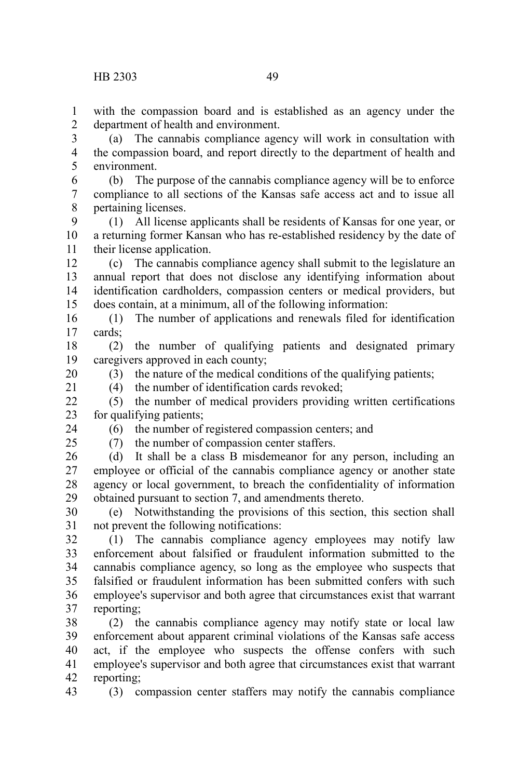with the compassion board and is established as an agency under the department of health and environment. 1 2

(a) The cannabis compliance agency will work in consultation with the compassion board, and report directly to the department of health and environment. 3 4 5

(b) The purpose of the cannabis compliance agency will be to enforce compliance to all sections of the Kansas safe access act and to issue all pertaining licenses. 6 7 8

(1) All license applicants shall be residents of Kansas for one year, or a returning former Kansan who has re-established residency by the date of their license application. 9 10 11

(c) The cannabis compliance agency shall submit to the legislature an annual report that does not disclose any identifying information about identification cardholders, compassion centers or medical providers, but does contain, at a minimum, all of the following information: 12 13 14 15

(1) The number of applications and renewals filed for identification cards; 16 17

(2) the number of qualifying patients and designated primary caregivers approved in each county; 18 19

20 21

> 24  $25$

(3) the nature of the medical conditions of the qualifying patients;

 $(4)$  the number of identification cards revoked;

(5) the number of medical providers providing written certifications for qualifying patients;  $22$ 23

(6) the number of registered compassion centers; and

(7) the number of compassion center staffers.

(d) It shall be a class B misdemeanor for any person, including an employee or official of the cannabis compliance agency or another state agency or local government, to breach the confidentiality of information obtained pursuant to section 7, and amendments thereto. 26 27 28 29

(e) Notwithstanding the provisions of this section, this section shall not prevent the following notifications: 30 31

(1) The cannabis compliance agency employees may notify law enforcement about falsified or fraudulent information submitted to the cannabis compliance agency, so long as the employee who suspects that falsified or fraudulent information has been submitted confers with such employee's supervisor and both agree that circumstances exist that warrant reporting; 32 33 34 35 36 37

(2) the cannabis compliance agency may notify state or local law enforcement about apparent criminal violations of the Kansas safe access act, if the employee who suspects the offense confers with such employee's supervisor and both agree that circumstances exist that warrant reporting; 38 39 40 41 42

43

(3) compassion center staffers may notify the cannabis compliance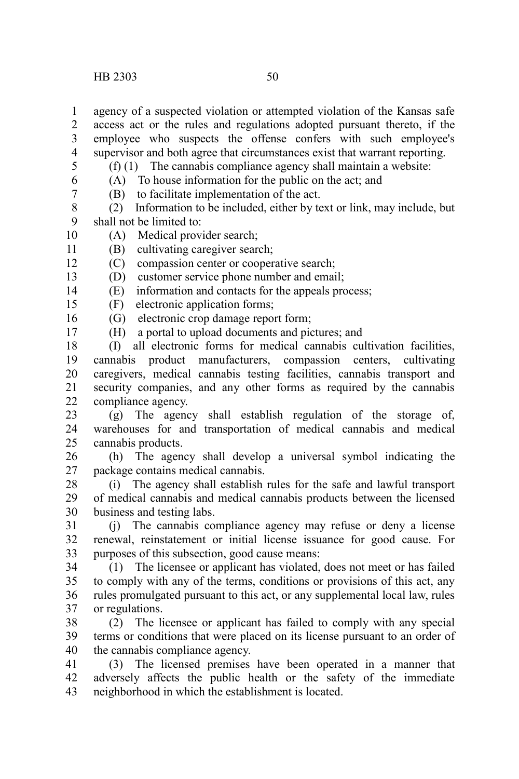agency of a suspected violation or attempted violation of the Kansas safe 1

access act or the rules and regulations adopted pursuant thereto, if the employee who suspects the offense confers with such employee's supervisor and both agree that circumstances exist that warrant reporting. 2 3 4

5

(f) (1) The cannabis compliance agency shall maintain a website: (A) To house information for the public on the act; and

6 7

17

(B) to facilitate implementation of the act.

(2) Information to be included, either by text or link, may include, but shall not be limited to: 8 9

(A) Medical provider search; 10

(B) cultivating caregiver search; 11

(C) compassion center or cooperative search; 12

(D) customer service phone number and email; 13

(E) information and contacts for the appeals process; 14

(F) electronic application forms; 15

(G) electronic crop damage report form; 16

(H) a portal to upload documents and pictures; and

(I) all electronic forms for medical cannabis cultivation facilities, cannabis product manufacturers, compassion centers, cultivating caregivers, medical cannabis testing facilities, cannabis transport and security companies, and any other forms as required by the cannabis compliance agency. 18 19 20 21  $22$ 

(g) The agency shall establish regulation of the storage of, warehouses for and transportation of medical cannabis and medical cannabis products. 23 24 25

(h) The agency shall develop a universal symbol indicating the package contains medical cannabis. 26 27

(i) The agency shall establish rules for the safe and lawful transport of medical cannabis and medical cannabis products between the licensed business and testing labs. 28 29 30

(j) The cannabis compliance agency may refuse or deny a license renewal, reinstatement or initial license issuance for good cause. For purposes of this subsection, good cause means: 31 32 33

(1) The licensee or applicant has violated, does not meet or has failed to comply with any of the terms, conditions or provisions of this act, any rules promulgated pursuant to this act, or any supplemental local law, rules or regulations. 34 35 36 37

(2) The licensee or applicant has failed to comply with any special terms or conditions that were placed on its license pursuant to an order of the cannabis compliance agency. 38 39 40

(3) The licensed premises have been operated in a manner that adversely affects the public health or the safety of the immediate neighborhood in which the establishment is located. 41 42 43